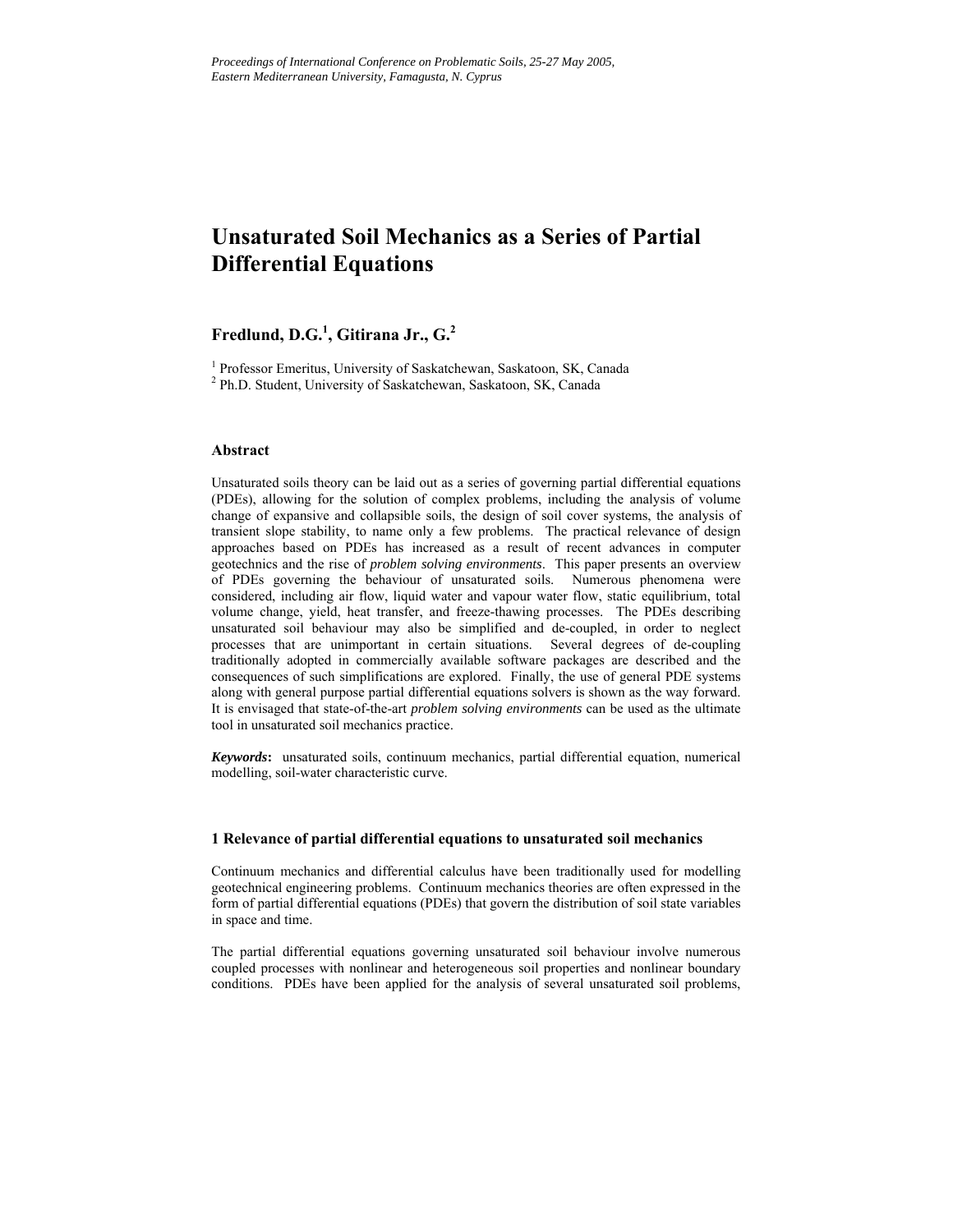# **Unsaturated Soil Mechanics as a Series of Partial Differential Equations**

# **Fredlund, D.G.<sup>1</sup> , Gitirana Jr., G.<sup>2</sup>**

<sup>1</sup> Professor Emeritus, University of Saskatchewan, Saskatoon, SK, Canada

<sup>2</sup> Ph.D. Student, University of Saskatchewan, Saskatoon, SK, Canada

# **Abstract**

Unsaturated soils theory can be laid out as a series of governing partial differential equations (PDEs), allowing for the solution of complex problems, including the analysis of volume change of expansive and collapsible soils, the design of soil cover systems, the analysis of transient slope stability, to name only a few problems. The practical relevance of design approaches based on PDEs has increased as a result of recent advances in computer geotechnics and the rise of *problem solving environments*. This paper presents an overview of PDEs governing the behaviour of unsaturated soils. Numerous phenomena were considered, including air flow, liquid water and vapour water flow, static equilibrium, total volume change, yield, heat transfer, and freeze-thawing processes. The PDEs describing unsaturated soil behaviour may also be simplified and de-coupled, in order to neglect processes that are unimportant in certain situations. Several degrees of de-coupling traditionally adopted in commercially available software packages are described and the consequences of such simplifications are explored. Finally, the use of general PDE systems along with general purpose partial differential equations solvers is shown as the way forward. It is envisaged that state-of-the-art *problem solving environments* can be used as the ultimate tool in unsaturated soil mechanics practice.

*Keywords***:** unsaturated soils, continuum mechanics, partial differential equation, numerical modelling, soil-water characteristic curve.

# **1 Relevance of partial differential equations to unsaturated soil mechanics**

Continuum mechanics and differential calculus have been traditionally used for modelling geotechnical engineering problems. Continuum mechanics theories are often expressed in the form of partial differential equations (PDEs) that govern the distribution of soil state variables in space and time.

The partial differential equations governing unsaturated soil behaviour involve numerous coupled processes with nonlinear and heterogeneous soil properties and nonlinear boundary conditions. PDEs have been applied for the analysis of several unsaturated soil problems,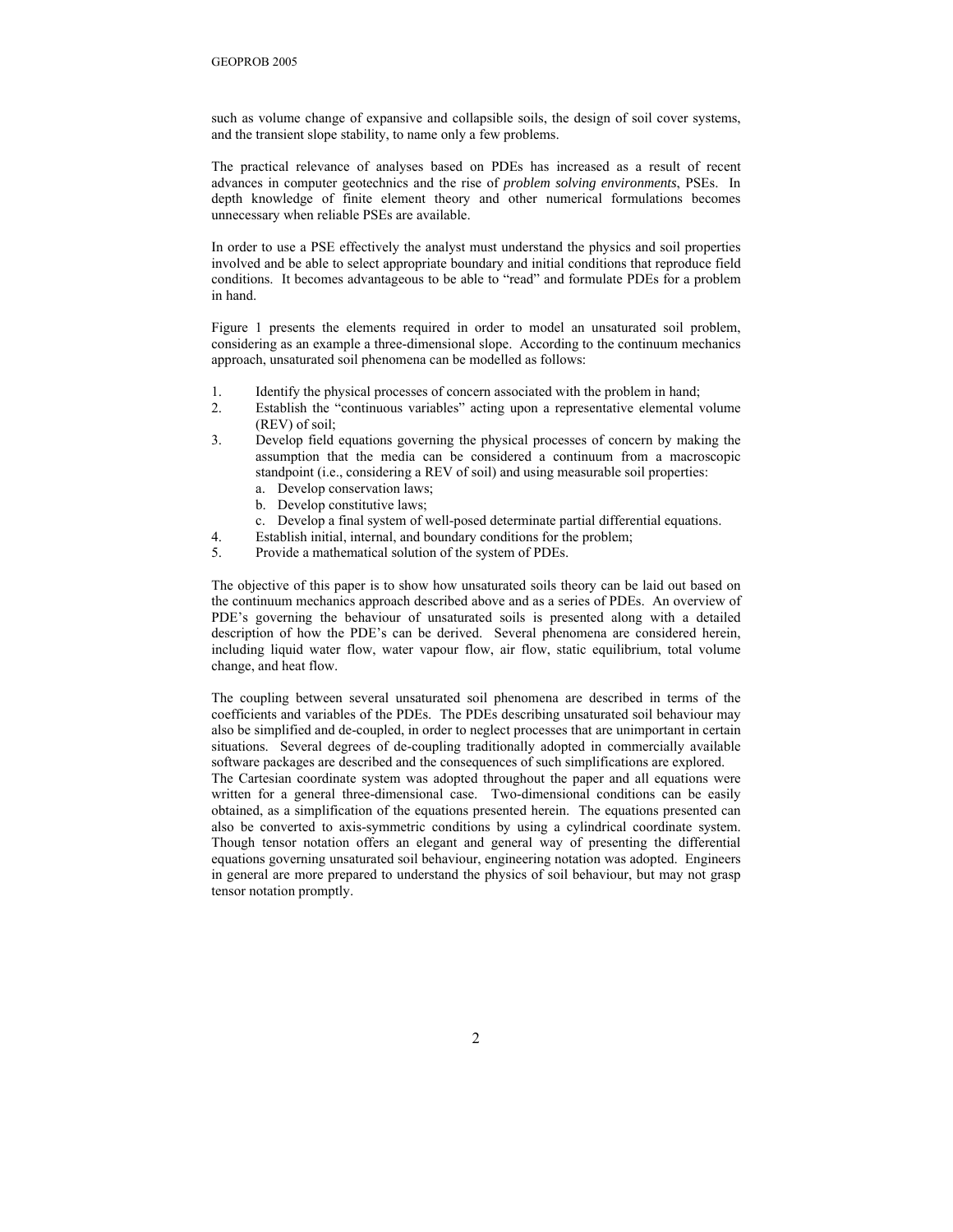such as volume change of expansive and collapsible soils, the design of soil cover systems, and the transient slope stability, to name only a few problems.

The practical relevance of analyses based on PDEs has increased as a result of recent advances in computer geotechnics and the rise of *problem solving environments*, PSEs. In depth knowledge of finite element theory and other numerical formulations becomes unnecessary when reliable PSEs are available.

In order to use a PSE effectively the analyst must understand the physics and soil properties involved and be able to select appropriate boundary and initial conditions that reproduce field conditions. It becomes advantageous to be able to "read" and formulate PDEs for a problem in hand.

Figure 1 presents the elements required in order to model an unsaturated soil problem, considering as an example a three-dimensional slope. According to the continuum mechanics approach, unsaturated soil phenomena can be modelled as follows:

- 1. Identify the physical processes of concern associated with the problem in hand;
- 2. Establish the "continuous variables" acting upon a representative elemental volume (REV) of soil;
- 3. Develop field equations governing the physical processes of concern by making the assumption that the media can be considered a continuum from a macroscopic standpoint (i.e., considering a REV of soil) and using measurable soil properties:
	- a. Develop conservation laws;
	- b. Develop constitutive laws;
	- c. Develop a final system of well-posed determinate partial differential equations.
- 4. Establish initial, internal, and boundary conditions for the problem;
- 5. Provide a mathematical solution of the system of PDEs.

The objective of this paper is to show how unsaturated soils theory can be laid out based on the continuum mechanics approach described above and as a series of PDEs. An overview of PDE's governing the behaviour of unsaturated soils is presented along with a detailed description of how the PDE's can be derived. Several phenomena are considered herein, including liquid water flow, water vapour flow, air flow, static equilibrium, total volume change, and heat flow.

The coupling between several unsaturated soil phenomena are described in terms of the coefficients and variables of the PDEs. The PDEs describing unsaturated soil behaviour may also be simplified and de-coupled, in order to neglect processes that are unimportant in certain situations. Several degrees of de-coupling traditionally adopted in commercially available software packages are described and the consequences of such simplifications are explored.

The Cartesian coordinate system was adopted throughout the paper and all equations were written for a general three-dimensional case. Two-dimensional conditions can be easily obtained, as a simplification of the equations presented herein. The equations presented can also be converted to axis-symmetric conditions by using a cylindrical coordinate system. Though tensor notation offers an elegant and general way of presenting the differential equations governing unsaturated soil behaviour, engineering notation was adopted. Engineers in general are more prepared to understand the physics of soil behaviour, but may not grasp tensor notation promptly.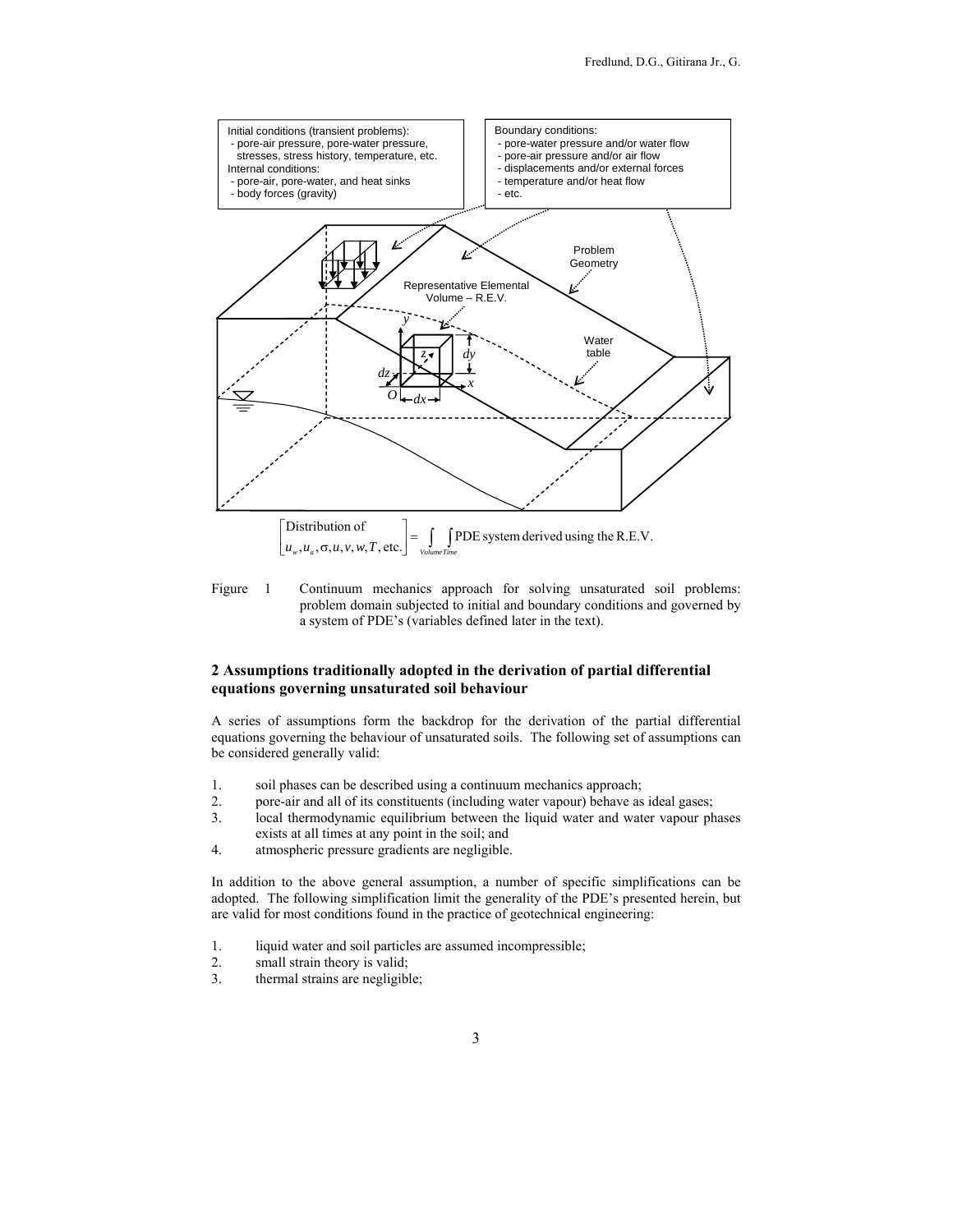

Figure 1 Continuum mechanics approach for solving unsaturated soil problems: problem domain subjected to initial and boundary conditions and governed by a system of PDE's (variables defined later in the text).

# **2 Assumptions traditionally adopted in the derivation of partial differential equations governing unsaturated soil behaviour**

A series of assumptions form the backdrop for the derivation of the partial differential equations governing the behaviour of unsaturated soils. The following set of assumptions can be considered generally valid:

- 1. soil phases can be described using a continuum mechanics approach;
- 2. pore-air and all of its constituents (including water vapour) behave as ideal gases;
- 3. local thermodynamic equilibrium between the liquid water and water vapour phases exists at all times at any point in the soil; and
- 4. atmospheric pressure gradients are negligible.

In addition to the above general assumption, a number of specific simplifications can be adopted. The following simplification limit the generality of the PDE's presented herein, but are valid for most conditions found in the practice of geotechnical engineering:

- 1. liquid water and soil particles are assumed incompressible;
- 2. small strain theory is valid;
- 3. thermal strains are negligible;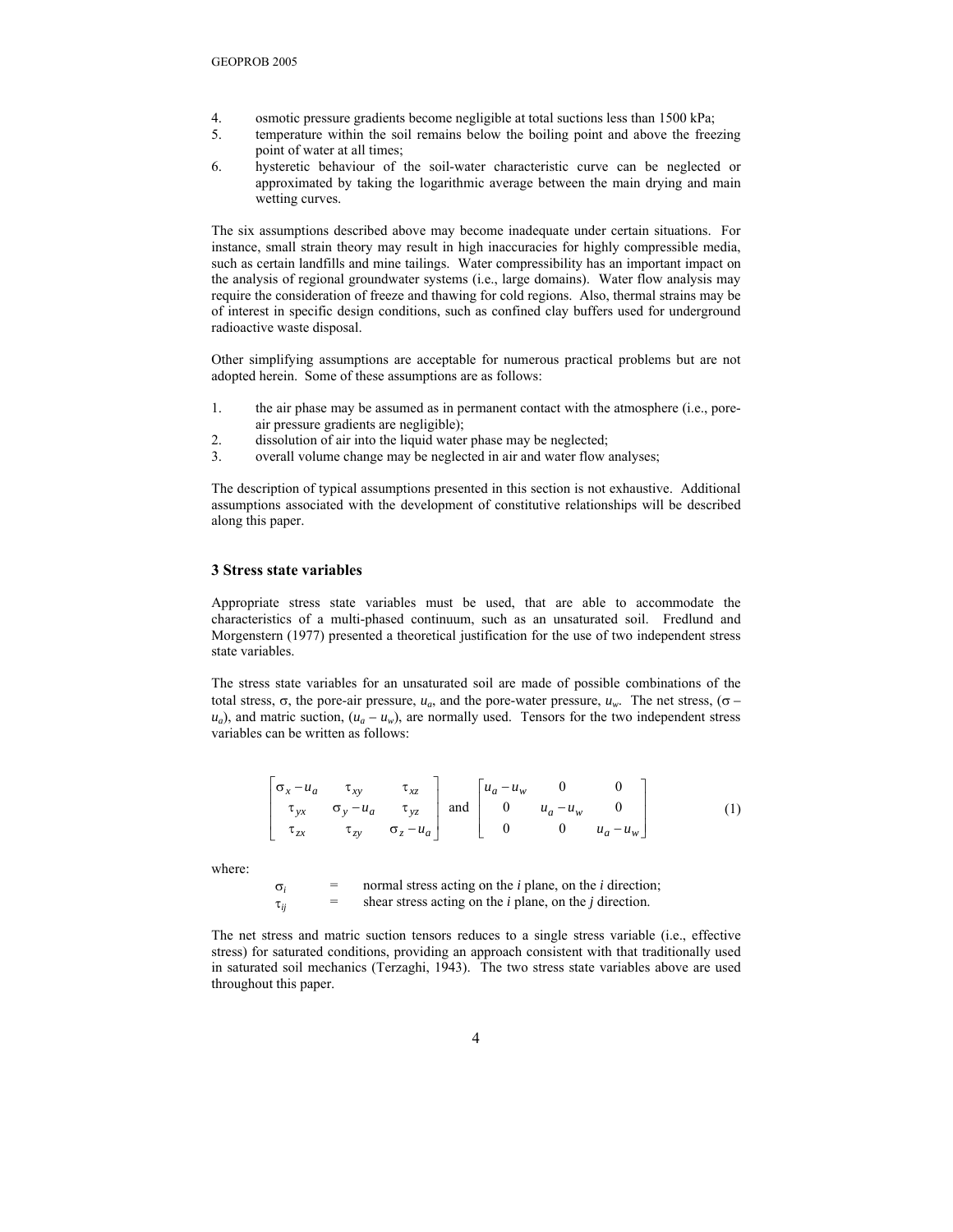- 4. osmotic pressure gradients become negligible at total suctions less than 1500 kPa;
- 5. temperature within the soil remains below the boiling point and above the freezing point of water at all times;
- 6. hysteretic behaviour of the soil-water characteristic curve can be neglected or approximated by taking the logarithmic average between the main drying and main wetting curves.

The six assumptions described above may become inadequate under certain situations. For instance, small strain theory may result in high inaccuracies for highly compressible media, such as certain landfills and mine tailings. Water compressibility has an important impact on the analysis of regional groundwater systems (i.e., large domains). Water flow analysis may require the consideration of freeze and thawing for cold regions. Also, thermal strains may be of interest in specific design conditions, such as confined clay buffers used for underground radioactive waste disposal.

Other simplifying assumptions are acceptable for numerous practical problems but are not adopted herein. Some of these assumptions are as follows:

- 1. the air phase may be assumed as in permanent contact with the atmosphere (i.e., poreair pressure gradients are negligible);
- 2. dissolution of air into the liquid water phase may be neglected;
- 3. overall volume change may be neglected in air and water flow analyses;

The description of typical assumptions presented in this section is not exhaustive. Additional assumptions associated with the development of constitutive relationships will be described along this paper.

#### **3 Stress state variables**

Appropriate stress state variables must be used, that are able to accommodate the characteristics of a multi-phased continuum, such as an unsaturated soil. Fredlund and Morgenstern (1977) presented a theoretical justification for the use of two independent stress state variables.

The stress state variables for an unsaturated soil are made of possible combinations of the total stress, σ, the pore-air pressure,  $u_a$ , and the pore-water pressure,  $u_w$ . The net stress, (σ –  $u_a$ ), and matric suction,  $(u_a - u_w)$ , are normally used. Tensors for the two independent stress variables can be written as follows:

$$
\begin{bmatrix}\n\sigma_x - u_a & \tau_{xy} & \tau_{xz} \\
\tau_{yx} & \sigma_y - u_a & \tau_{yz} \\
\tau_{zx} & \tau_{zy} & \sigma_z - u_a\n\end{bmatrix} \text{ and } \begin{bmatrix}\nu_a - u_w & 0 & 0 \\
0 & u_a - u_w & 0 \\
0 & 0 & u_a - u_w\n\end{bmatrix}
$$
 (1)

where:

 $\sigma_i$  = normal stress acting on the *i* plane, on the *i* direction;  $\tau_{ii}$  = shear stress acting on the *i* plane, on the *j* direction.

The net stress and matric suction tensors reduces to a single stress variable (i.e., effective stress) for saturated conditions, providing an approach consistent with that traditionally used in saturated soil mechanics (Terzaghi, 1943). The two stress state variables above are used throughout this paper.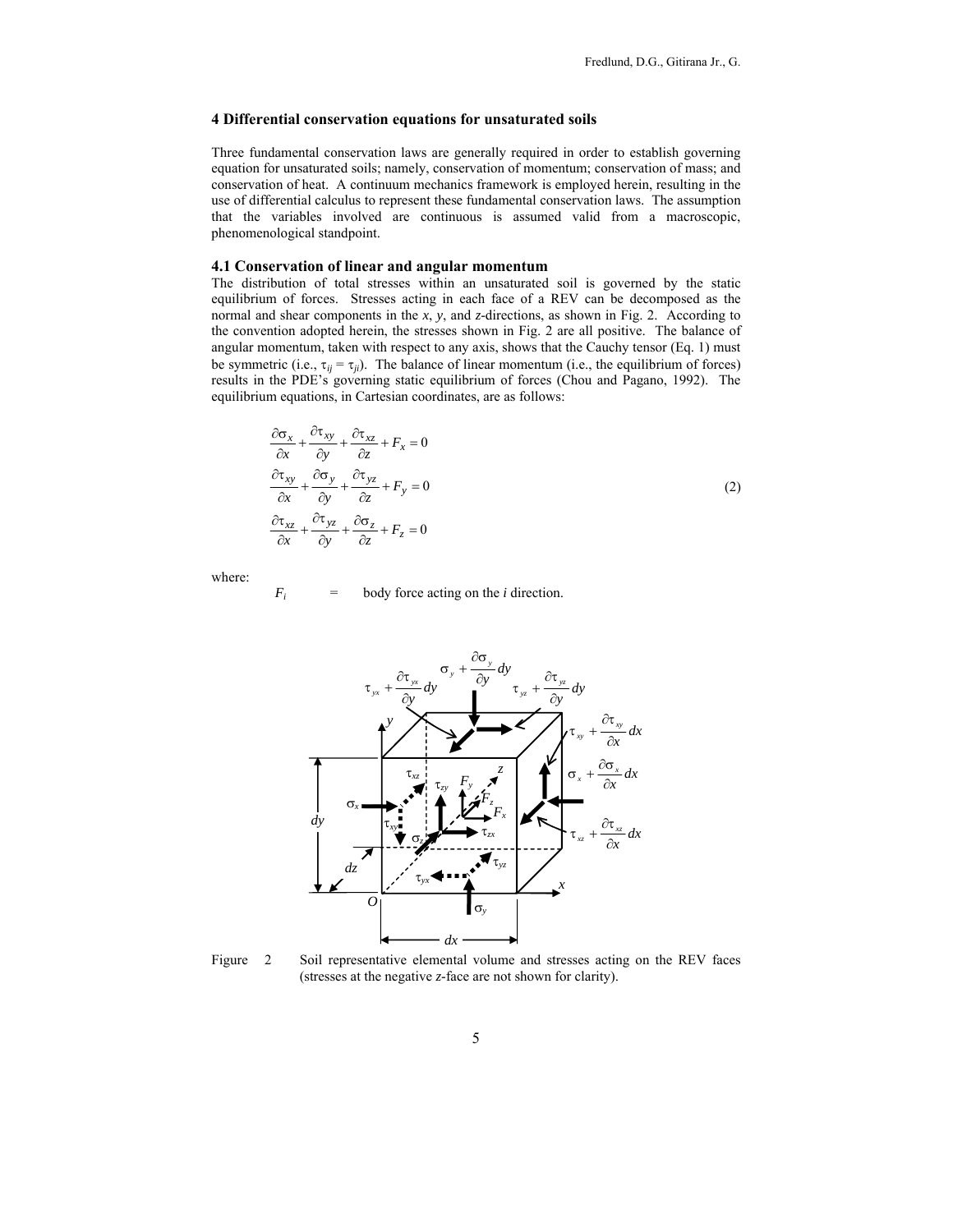# **4 Differential conservation equations for unsaturated soils**

Three fundamental conservation laws are generally required in order to establish governing equation for unsaturated soils; namely, conservation of momentum; conservation of mass; and conservation of heat. A continuum mechanics framework is employed herein, resulting in the use of differential calculus to represent these fundamental conservation laws. The assumption that the variables involved are continuous is assumed valid from a macroscopic, phenomenological standpoint.

#### **4.1 Conservation of linear and angular momentum**

The distribution of total stresses within an unsaturated soil is governed by the static equilibrium of forces. Stresses acting in each face of a REV can be decomposed as the normal and shear components in the *x*, *y*, and *z*-directions, as shown in Fig. 2. According to the convention adopted herein, the stresses shown in Fig. 2 are all positive. The balance of angular momentum, taken with respect to any axis, shows that the Cauchy tensor (Eq. 1) must be symmetric (i.e.,  $\tau_{ij} = \tau_{ij}$ ). The balance of linear momentum (i.e., the equilibrium of forces) results in the PDE's governing static equilibrium of forces (Chou and Pagano, 1992). The equilibrium equations, in Cartesian coordinates, are as follows:

$$
\frac{\partial \sigma_x}{\partial x} + \frac{\partial \tau_{xy}}{\partial y} + \frac{\partial \tau_{xz}}{\partial z} + F_x = 0
$$
  
\n
$$
\frac{\partial \tau_{xy}}{\partial x} + \frac{\partial \sigma_y}{\partial y} + \frac{\partial \tau_{yz}}{\partial z} + F_y = 0
$$
  
\n
$$
\frac{\partial \tau_{xz}}{\partial x} + \frac{\partial \tau_{yz}}{\partial y} + \frac{\partial \sigma_z}{\partial z} + F_z = 0
$$
\n(2)

where:

$$
F_i = \text{body force acting on the } i \text{ direction.}
$$



Figure 2 Soil representative elemental volume and stresses acting on the REV faces (stresses at the negative *z*-face are not shown for clarity).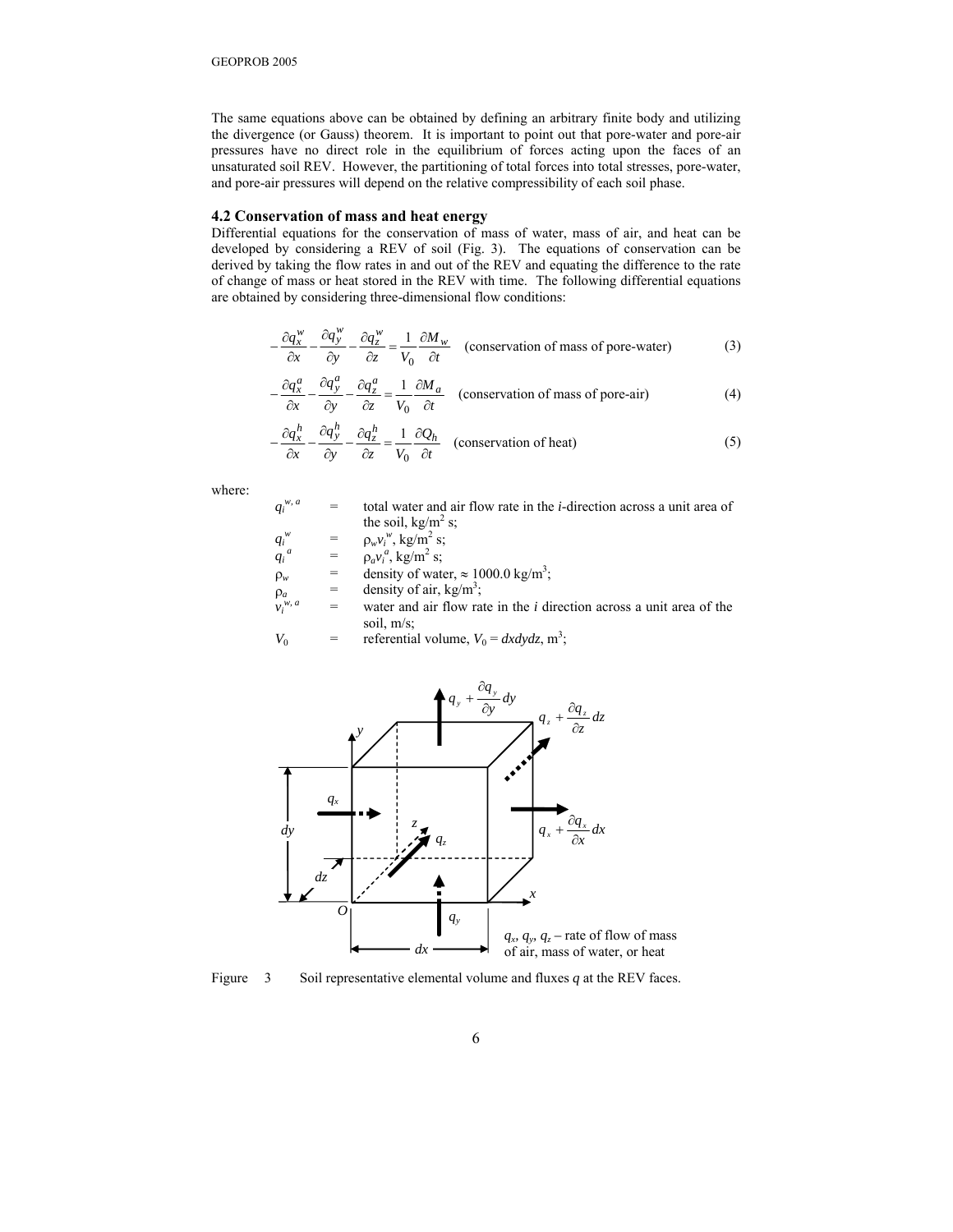The same equations above can be obtained by defining an arbitrary finite body and utilizing the divergence (or Gauss) theorem. It is important to point out that pore-water and pore-air pressures have no direct role in the equilibrium of forces acting upon the faces of an unsaturated soil REV. However, the partitioning of total forces into total stresses, pore-water, and pore-air pressures will depend on the relative compressibility of each soil phase.

# **4.2 Conservation of mass and heat energy**

Differential equations for the conservation of mass of water, mass of air, and heat can be developed by considering a REV of soil (Fig. 3). The equations of conservation can be derived by taking the flow rates in and out of the REV and equating the difference to the rate of change of mass or heat stored in the REV with time. The following differential equations are obtained by considering three-dimensional flow conditions:

$$
-\frac{\partial q_x^w}{\partial x} - \frac{\partial q_y^w}{\partial y} - \frac{\partial q_z^w}{\partial z} = \frac{1}{V_0} \frac{\partial M_w}{\partial t}
$$
 (conservation of mass of pore-water) (3)

$$
-\frac{\partial q_x^a}{\partial x} - \frac{\partial q_y^a}{\partial y} - \frac{\partial q_z^a}{\partial z} = \frac{1}{V_0} \frac{\partial M_a}{\partial t}
$$
 (conservation of mass of pore-air) (4)

$$
-\frac{\partial q_x^h}{\partial x} - \frac{\partial q_y^h}{\partial y} - \frac{\partial q_z^h}{\partial z} = \frac{1}{V_0} \frac{\partial Q_h}{\partial t}
$$
 (conservation of heat) (5)

where:

| $q_i^{w, a}$ | $=$ | total water and air flow rate in the <i>i</i> -direction across a unit area of |
|--------------|-----|--------------------------------------------------------------------------------|
|              |     | the soil, kg/m <sup>2</sup> s;                                                 |
| $q_i^w$      |     | $=$ $\rho_w v_i^w$ , kg/m <sup>2</sup> s;                                      |
| $q_i^a$      |     | $=$ $\rho_a v_i^a$ , kg/m <sup>2</sup> s;                                      |

$$
^{\iota} \qquad = \qquad \rho_a v_i^a, \, \text{kg/m}^2 \, \text{s};
$$

 $\rho_w$  = density of water,  $\approx 1000.0 \text{ kg/m}^3$ ;

- $\rho_a$  = density of air, kg/m<sup>3</sup>;
- $v_i^w$  $\rho_a$  = density of air, kg/m<sup>2</sup>;<br> $v_i^{w, a}$  = water and air flow rate in the *i* direction across a unit area of the soil, m/s;
- $V_0$  = referential volume,  $V_0 = dx dy dz$ , m<sup>3</sup>;



Figure 3 Soil representative elemental volume and fluxes *q* at the REV faces.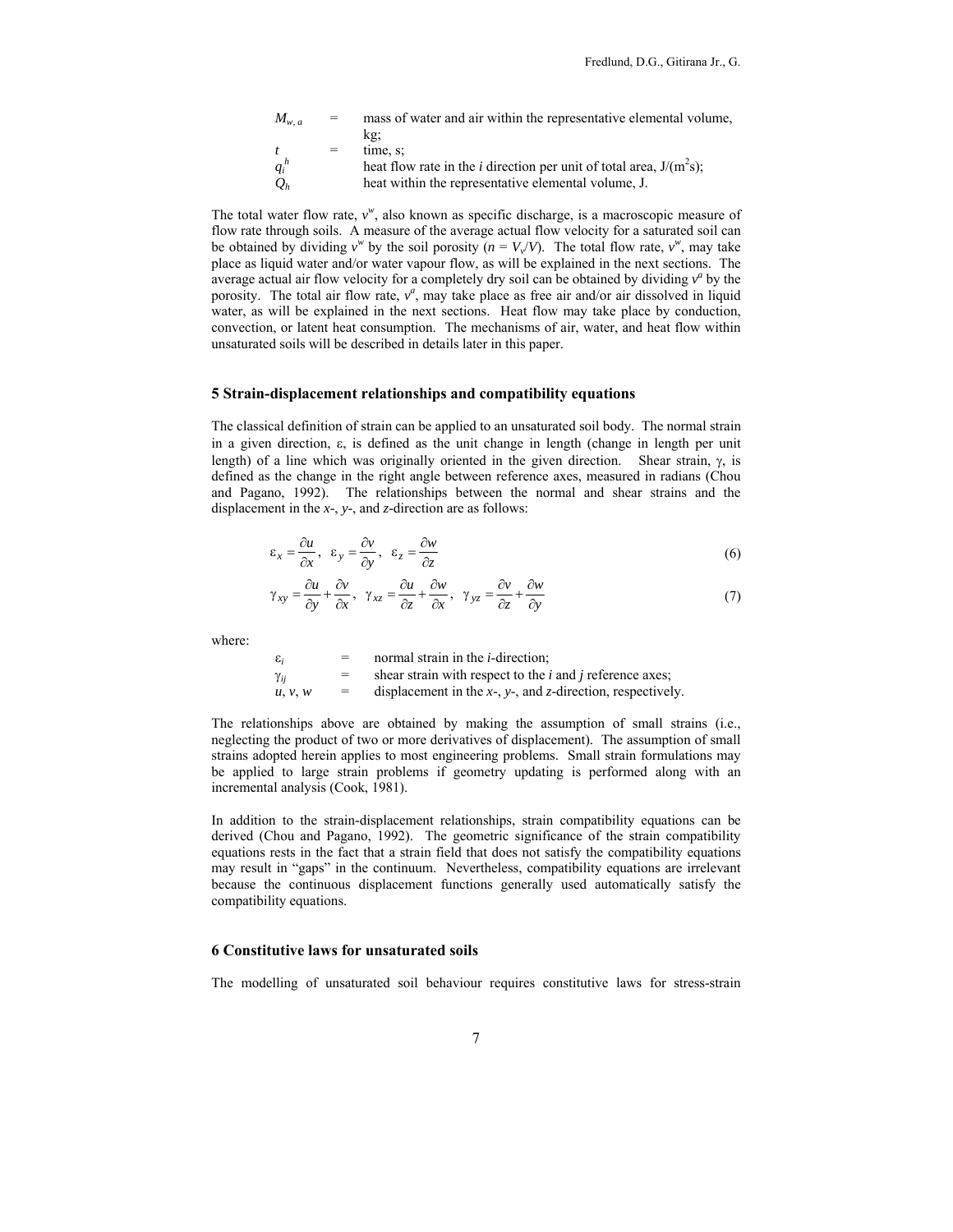| $M_{w.a.}$      | $=$ | mass of water and air within the representative elemental volume,             |
|-----------------|-----|-------------------------------------------------------------------------------|
|                 |     | kg:                                                                           |
|                 | $=$ | time. s:                                                                      |
| $q_i^h$         |     | heat flow rate in the <i>i</i> direction per unit of total area, $J/(m^2s)$ ; |
| $\mathcal{Q}_h$ |     | heat within the representative elemental volume, J.                           |

The total water flow rate,  $v^w$ , also known as specific discharge, is a macroscopic measure of flow rate through soils. A measure of the average actual flow velocity for a saturated soil can be obtained by dividing  $v^w$  by the soil porosity  $(n = V_v/V)$ . The total flow rate,  $v^w$ , may take place as liquid water and/or water vapour flow, as will be explained in the next sections. The average actual air flow velocity for a completely dry soil can be obtained by dividing  $v^a$  by the porosity. The total air flow rate,  $v^a$ , may take place as free air and/or air dissolved in liquid water, as will be explained in the next sections. Heat flow may take place by conduction, convection, or latent heat consumption. The mechanisms of air, water, and heat flow within unsaturated soils will be described in details later in this paper.

#### **5 Strain-displacement relationships and compatibility equations**

The classical definition of strain can be applied to an unsaturated soil body. The normal strain in a given direction, ε, is defined as the unit change in length (change in length per unit length) of a line which was originally oriented in the given direction. Shear strain,  $\gamma$ , is defined as the change in the right angle between reference axes, measured in radians (Chou and Pagano, 1992). The relationships between the normal and shear strains and the displacement in the *x*-, *y*-, and *z*-direction are as follows:

$$
\varepsilon_x = \frac{\partial u}{\partial x}, \quad \varepsilon_y = \frac{\partial v}{\partial y}, \quad \varepsilon_z = \frac{\partial w}{\partial z} \tag{6}
$$

$$
\gamma_{xy} = \frac{\partial u}{\partial y} + \frac{\partial v}{\partial x}, \quad \gamma_{xz} = \frac{\partial u}{\partial z} + \frac{\partial w}{\partial x}, \quad \gamma_{yz} = \frac{\partial v}{\partial z} + \frac{\partial w}{\partial y}
$$
(7)

where:

| ε,      | =   | normal strain in the <i>i</i> -direction:                              |
|---------|-----|------------------------------------------------------------------------|
| Yii     | $=$ | shear strain with respect to the <i>i</i> and <i>j</i> reference axes; |
| u, v, w | $=$ | displacement in the $x$ -, $y$ -, and $z$ -direction, respectively.    |

The relationships above are obtained by making the assumption of small strains (i.e., neglecting the product of two or more derivatives of displacement). The assumption of small strains adopted herein applies to most engineering problems. Small strain formulations may be applied to large strain problems if geometry updating is performed along with an incremental analysis (Cook, 1981).

In addition to the strain-displacement relationships, strain compatibility equations can be derived (Chou and Pagano, 1992). The geometric significance of the strain compatibility equations rests in the fact that a strain field that does not satisfy the compatibility equations may result in "gaps" in the continuum. Nevertheless, compatibility equations are irrelevant because the continuous displacement functions generally used automatically satisfy the compatibility equations.

#### **6 Constitutive laws for unsaturated soils**

The modelling of unsaturated soil behaviour requires constitutive laws for stress-strain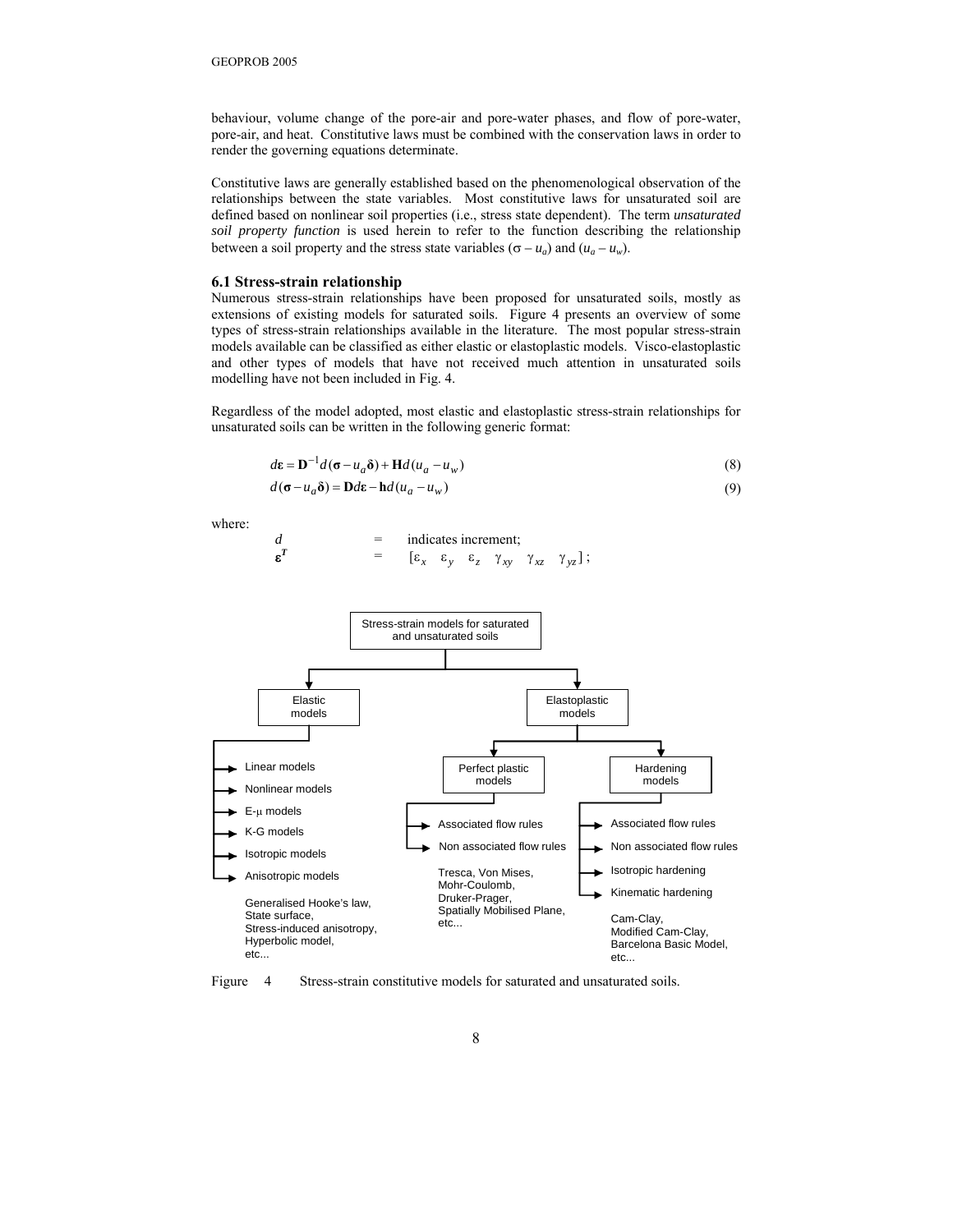behaviour, volume change of the pore-air and pore-water phases, and flow of pore-water, pore-air, and heat. Constitutive laws must be combined with the conservation laws in order to render the governing equations determinate.

Constitutive laws are generally established based on the phenomenological observation of the relationships between the state variables. Most constitutive laws for unsaturated soil are defined based on nonlinear soil properties (i.e., stress state dependent). The term *unsaturated soil property function* is used herein to refer to the function describing the relationship between a soil property and the stress state variables ( $\sigma - u_a$ ) and ( $u_a - u_w$ ).

#### **6.1 Stress-strain relationship**

Numerous stress-strain relationships have been proposed for unsaturated soils, mostly as extensions of existing models for saturated soils. Figure 4 presents an overview of some types of stress-strain relationships available in the literature. The most popular stress-strain models available can be classified as either elastic or elastoplastic models. Visco-elastoplastic and other types of models that have not received much attention in unsaturated soils modelling have not been included in Fig. 4.

Regardless of the model adopted, most elastic and elastoplastic stress-strain relationships for unsaturated soils can be written in the following generic format:

$$
d\mathbf{\varepsilon} = \mathbf{D}^{-1}d(\mathbf{\sigma} - u_a\mathbf{\delta}) + \mathbf{H}d(u_a - u_w)
$$
\n(8)

$$
d(\sigma - u_a \delta) = \mathbf{D}d\varepsilon - \mathbf{h}d(u_a - u_w) \tag{9}
$$

where:

$$
d = \text{indicates increment};
$$
  

$$
\varepsilon^T = [\varepsilon_x \varepsilon_y \varepsilon_z \gamma_{xy} \gamma_{xz} \gamma_{yz}];
$$



Figure 4 Stress-strain constitutive models for saturated and unsaturated soils.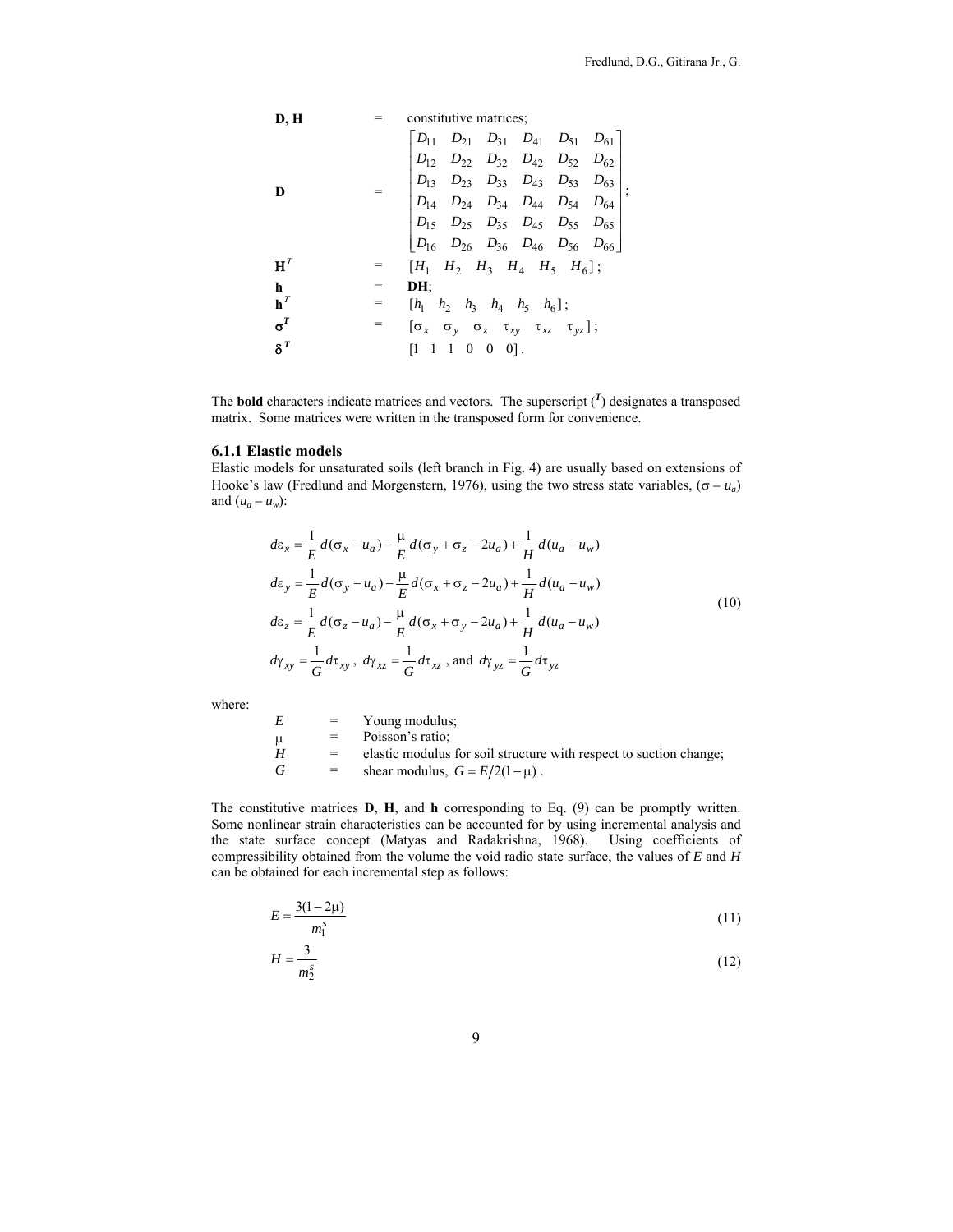| <b>D, H</b> | =                    | constitutive matrices;                                                  |          |          |          |          |
|-------------|----------------------|-------------------------------------------------------------------------|----------|----------|----------|----------|
| $D_{11}$    | $D_{21}$             | $D_{31}$                                                                | $D_{41}$ | $D_{51}$ | $D_{61}$ |          |
| $D_{12}$    | $D_{22}$             | $D_{32}$                                                                | $D_{42}$ | $D_{52}$ | $D_{63}$ | $D_{64}$ |
| $D_{14}$    | $D_{24}$             | $D_{34}$                                                                | $D_{43}$ | $D_{53}$ | $D_{64}$ |          |
| $D_{15}$    | $D_{25}$             | $D_{35}$                                                                | $D_{45}$ | $D_{55}$ | $D_{65}$ |          |
| $H^T$       | =                    | $[H_1 \ H_2 \ H_3 \ H_4 \ H_5 \ H_6];$                                  |          |          |          |          |
| $h^T$       | =                    | $[H_1 \ h_2 \ h_3 \ h_4 \ h_5 \ h_6];$                                  |          |          |          |          |
| $\sigma^T$  | =                    | $[\sigma_x \ \sigma_y \ \sigma_z \ \tau_{xy} \ \tau_{xz} \ \tau_{yz}];$ |          |          |          |          |
| $\delta^T$  | [1 \ 1 \ 0 \ 0 \ 0]. |                                                                         |          |          |          |          |

The **bold** characters indicate matrices and vectors. The superscript  $\binom{T}{l}$  designates a transposed matrix. Some matrices were written in the transposed form for convenience.

# **6.1.1 Elastic models**

Elastic models for unsaturated soils (left branch in Fig. 4) are usually based on extensions of Hooke's law (Fredlund and Morgenstern, 1976), using the two stress state variables,  $(\sigma - u_a)$ and  $(u_a - u_w)$ :

$$
d\varepsilon_{x} = \frac{1}{E} d(\sigma_{x} - u_{a}) - \frac{\mu}{E} d(\sigma_{y} + \sigma_{z} - 2u_{a}) + \frac{1}{H} d(u_{a} - u_{w})
$$
  
\n
$$
d\varepsilon_{y} = \frac{1}{E} d(\sigma_{y} - u_{a}) - \frac{\mu}{E} d(\sigma_{x} + \sigma_{z} - 2u_{a}) + \frac{1}{H} d(u_{a} - u_{w})
$$
  
\n
$$
d\varepsilon_{z} = \frac{1}{E} d(\sigma_{z} - u_{a}) - \frac{\mu}{E} d(\sigma_{x} + \sigma_{y} - 2u_{a}) + \frac{1}{H} d(u_{a} - u_{w})
$$
  
\n
$$
d\gamma_{xy} = \frac{1}{G} d\tau_{xy}, \ d\gamma_{xz} = \frac{1}{G} d\tau_{xz}, \text{ and } d\gamma_{yz} = \frac{1}{G} d\tau_{yz}
$$
\n(10)

where:

| E   | $=$ | Young modulus:                                                     |
|-----|-----|--------------------------------------------------------------------|
| - u | $=$ | Poisson's ratio:                                                   |
| H   | $=$ | elastic modulus for soil structure with respect to suction change; |
| G   | $=$ | shear modulus, $G = E/2(1-\mu)$ .                                  |

The constitutive matrices **D**, **H**, and **h** corresponding to Eq. (9) can be promptly written. Some nonlinear strain characteristics can be accounted for by using incremental analysis and the state surface concept (Matyas and Radakrishna, 1968). Using coefficients of compressibility obtained from the volume the void radio state surface, the values of *E* and *H* can be obtained for each incremental step as follows:

$$
E = \frac{3(1 - 2\mu)}{m_1^s} \tag{11}
$$

$$
H = \frac{3}{m_2^s} \tag{12}
$$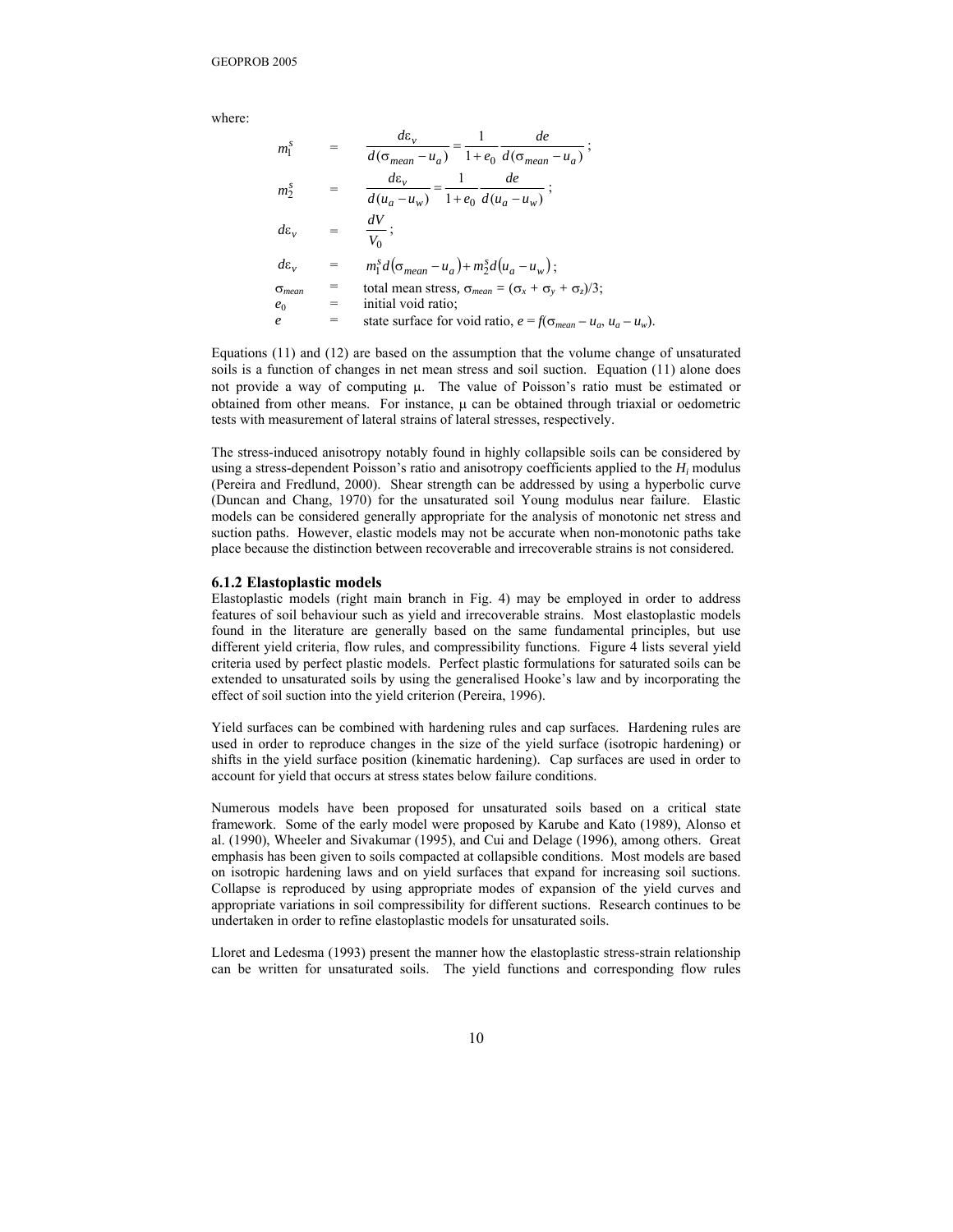where:

$$
m_1^s = \frac{d\varepsilon_v}{d(\sigma_{mean} - u_a)} = \frac{1}{1 + e_0} \frac{de}{d(\sigma_{mean} - u_a)};
$$
  
\n
$$
m_2^s = \frac{d\varepsilon_v}{d(u_a - u_w)} = \frac{1}{1 + e_0} \frac{de}{d(u_a - u_w)};
$$
  
\n
$$
d\varepsilon_v = \frac{dV}{V_0};
$$
  
\n
$$
d\varepsilon_v = m_1^s d(\sigma_{mean} - u_a) + m_2^s d(u_a - u_w);
$$
  
\n
$$
\sigma_{mean} = \text{total mean stress}, \sigma_{mean} = (\sigma_x + \sigma_y + \sigma_z)/3;
$$
  
\n
$$
e_0 = \text{initial void ratio}; \quad e = f(\sigma_{mean} - u_a, u_a - u_w).
$$

Equations (11) and (12) are based on the assumption that the volume change of unsaturated soils is a function of changes in net mean stress and soil suction. Equation (11) alone does not provide a way of computing µ. The value of Poisson's ratio must be estimated or obtained from other means. For instance,  $\mu$  can be obtained through triaxial or oedometric tests with measurement of lateral strains of lateral stresses, respectively.

The stress-induced anisotropy notably found in highly collapsible soils can be considered by using a stress-dependent Poisson's ratio and anisotropy coefficients applied to the *Hi* modulus (Pereira and Fredlund, 2000). Shear strength can be addressed by using a hyperbolic curve (Duncan and Chang, 1970) for the unsaturated soil Young modulus near failure. Elastic models can be considered generally appropriate for the analysis of monotonic net stress and suction paths. However, elastic models may not be accurate when non-monotonic paths take place because the distinction between recoverable and irrecoverable strains is not considered.

#### **6.1.2 Elastoplastic models**

Elastoplastic models (right main branch in Fig. 4) may be employed in order to address features of soil behaviour such as yield and irrecoverable strains. Most elastoplastic models found in the literature are generally based on the same fundamental principles, but use different yield criteria, flow rules, and compressibility functions. Figure 4 lists several yield criteria used by perfect plastic models. Perfect plastic formulations for saturated soils can be extended to unsaturated soils by using the generalised Hooke's law and by incorporating the effect of soil suction into the yield criterion (Pereira, 1996).

Yield surfaces can be combined with hardening rules and cap surfaces. Hardening rules are used in order to reproduce changes in the size of the yield surface (isotropic hardening) or shifts in the yield surface position (kinematic hardening). Cap surfaces are used in order to account for yield that occurs at stress states below failure conditions.

Numerous models have been proposed for unsaturated soils based on a critical state framework. Some of the early model were proposed by Karube and Kato (1989), Alonso et al. (1990), Wheeler and Sivakumar (1995), and Cui and Delage (1996), among others. Great emphasis has been given to soils compacted at collapsible conditions. Most models are based on isotropic hardening laws and on yield surfaces that expand for increasing soil suctions. Collapse is reproduced by using appropriate modes of expansion of the yield curves and appropriate variations in soil compressibility for different suctions. Research continues to be undertaken in order to refine elastoplastic models for unsaturated soils.

Lloret and Ledesma (1993) present the manner how the elastoplastic stress-strain relationship can be written for unsaturated soils. The yield functions and corresponding flow rules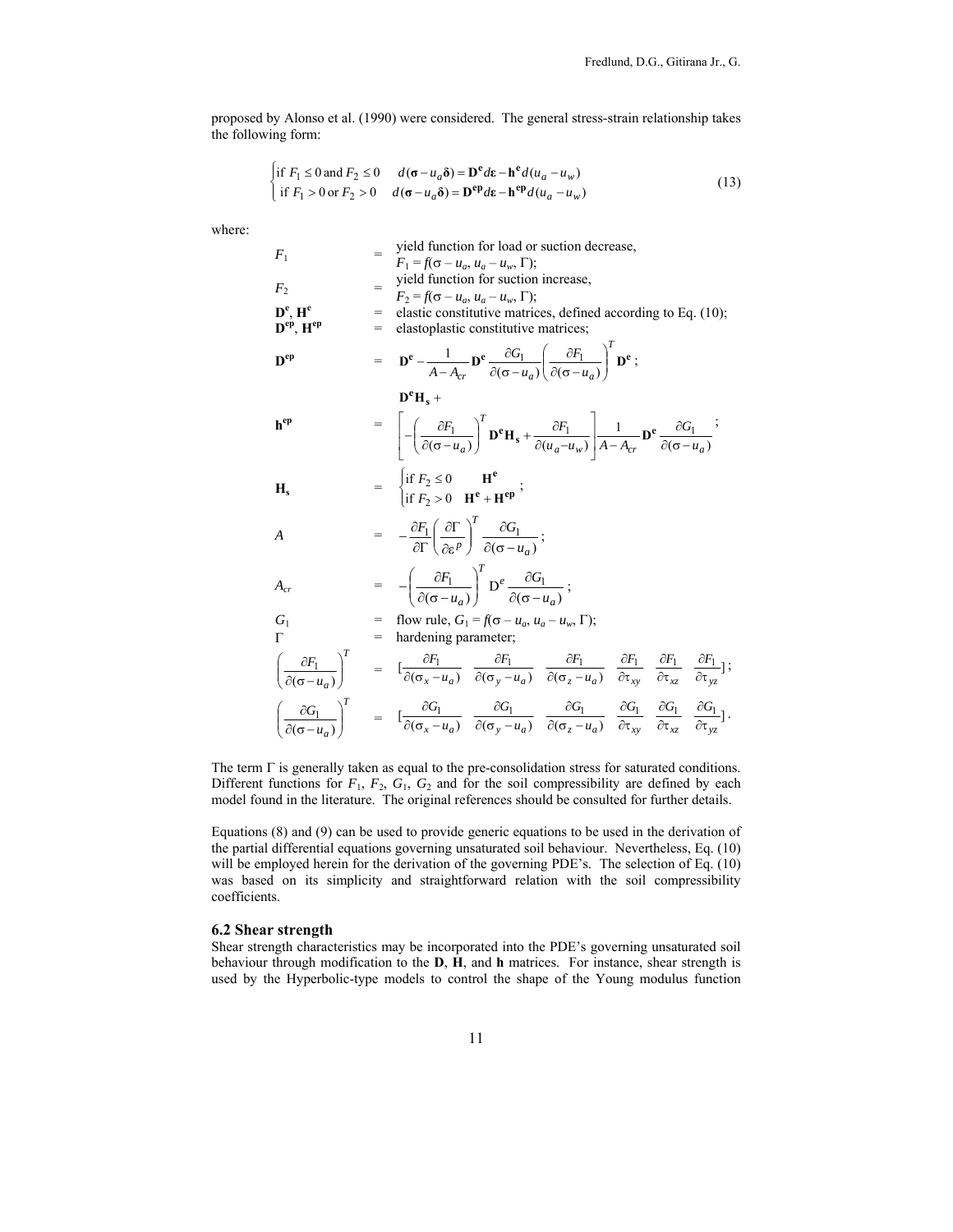proposed by Alonso et al. (1990) were considered. The general stress-strain relationship takes the following form:

$$
\begin{cases} \text{if } F_1 \le 0 \text{ and } F_2 \le 0 & d(\sigma - u_a \delta) = \mathbf{D}^e d\mathbf{\varepsilon} - \mathbf{h}^e d(u_a - u_w) \\ \text{if } F_1 > 0 \text{ or } F_2 > 0 & d(\sigma - u_a \delta) = \mathbf{D}^{ep} d\mathbf{\varepsilon} - \mathbf{h}^{ep} d(u_a - u_w) \end{cases}
$$
(13)

where:

 $\epsilon$ 

$$
F_1 = \begin{cases}\nF_1 = f(\sigma - u_a, u_a - u_w, \Gamma);\n\end{cases}
$$
\n
$$
F_2 = \begin{cases}\nF_2 = f(\sigma - u_a, u_a - u_w, \Gamma);\n\end{cases}
$$
\n
$$
F_2 = \begin{cases}\nF_2 = f(\sigma - u_a, u_a - u_w, \Gamma);\n\end{cases}
$$
\n
$$
D^e, H^e = \text{elastic constitutive matrices, defined according to Eq. (10);}
$$
\n
$$
D^{ep} H^e = \begin{cases}\nD^e - \frac{1}{A - A_{cr}} D^e \frac{\partial G_1}{\partial (\sigma - u_a)} \left(\frac{\partial F_1}{\partial (\sigma - u_a)}\right)^T D^e;\n\end{cases}
$$
\n
$$
D^{ep} = \begin{cases}\nD^e H_s + \frac{\partial F_1}{\partial (\sigma - u_a)} \left(\frac{\partial F_1}{\partial (\sigma - u_a)}\right)^T D^e \right. \\
D^e H_s + \frac{\partial F_1}{\partial (u_a - u_w)} \left(\frac{\partial F_1}{\partial (\sigma - u_a)}\right)^T D^e H_s + \frac{\partial F_1}{\partial (u_a - u_w)} \right) A - A_{cr} \end{cases}
$$
\n
$$
H_s = \begin{cases}\n\text{if } F_2 \le 0 & H^e \\
\text{if } F_2 > 0 & H^e + H^{ep} \end{cases};
$$
\n
$$
A_{cr} = -\frac{\partial F_1}{\partial \Gamma} \left(\frac{\partial \Gamma}{\partial \varepsilon}\right)^T \frac{\partial G_1}{\partial (\sigma - u_a)} ;
$$
\n
$$
G_1 = \text{flow rule}, G_1 = f(\sigma - u_a, u_a - u_w, \Gamma);
$$
\n
$$
\Gamma = \text{hardening parameter};
$$
\n
$$
\left(\frac{\partial F_1}{\partial (\sigma - u_a)}\right)^T = \begin{bmatrix}\n\frac{\partial F_1}{\partial (\sigma_x - u_a)} & \frac{\partial F_1}{\partial (\sigma_y - u_a)} & \frac{\partial F_1}{\partial (\sigma_z - u_a)} & \frac{\partial F_1}{\partial \sigma_x} & \frac{\partial F_1}{\partial \sigma_x} & \frac{\partial F_1}{\partial \sigma_x} \end{bmatrix};
$$
\n
$$
\left(\frac{\partial G_1}{\partial (\sigma - u_a)}\right
$$

The term Γ is generally taken as equal to the pre-consolidation stress for saturated conditions. Different functions for  $F_1$ ,  $F_2$ ,  $G_1$ ,  $G_2$  and for the soil compressibility are defined by each model found in the literature. The original references should be consulted for further details.

Equations (8) and (9) can be used to provide generic equations to be used in the derivation of the partial differential equations governing unsaturated soil behaviour. Nevertheless, Eq. (10) will be employed herein for the derivation of the governing PDE's. The selection of Eq. (10) was based on its simplicity and straightforward relation with the soil compressibility coefficients.

#### **6.2 Shear strength**

Shear strength characteristics may be incorporated into the PDE's governing unsaturated soil behaviour through modification to the **D**, **H**, and **h** matrices. For instance, shear strength is used by the Hyperbolic-type models to control the shape of the Young modulus function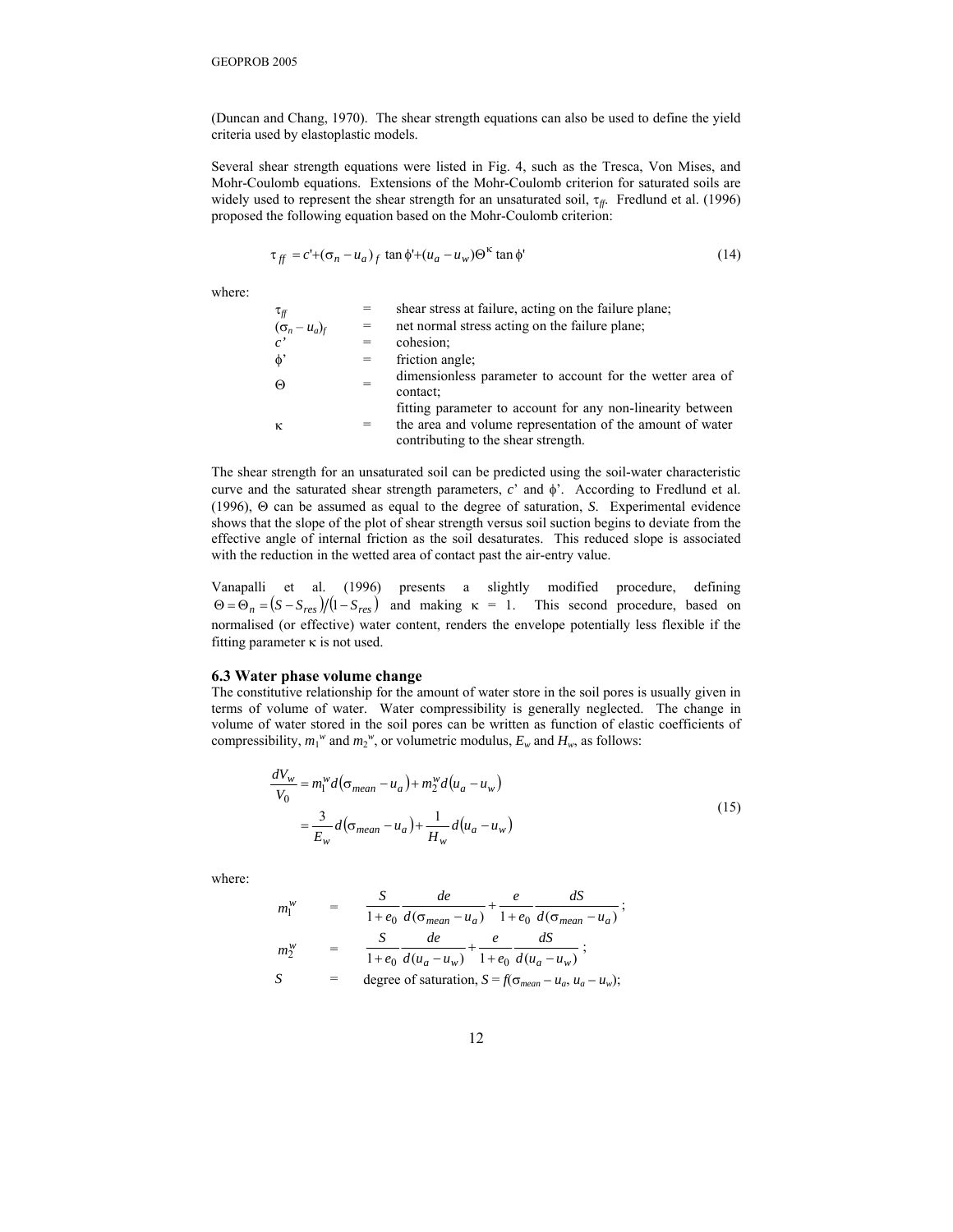(Duncan and Chang, 1970). The shear strength equations can also be used to define the yield criteria used by elastoplastic models.

Several shear strength equations were listed in Fig. 4, such as the Tresca, Von Mises, and Mohr-Coulomb equations. Extensions of the Mohr-Coulomb criterion for saturated soils are widely used to represent the shear strength for an unsaturated soil,  $\tau_f$ . Fredlund et al. (1996) proposed the following equation based on the Mohr-Coulomb criterion:

$$
\tau_{ff} = c' + (\sigma_n - u_a)_f \tan \phi' + (u_a - u_w) \Theta^{\kappa} \tan \phi'
$$
 (14)

where:

| $\tau_{\it ff}$      |     | shear stress at failure, acting on the failure plane;                                                                                                          |
|----------------------|-----|----------------------------------------------------------------------------------------------------------------------------------------------------------------|
| $(\sigma_n - u_a)_f$ | $=$ | net normal stress acting on the failure plane;                                                                                                                 |
|                      | $=$ | cohesion;                                                                                                                                                      |
| $\phi$               | $=$ | friction angle;                                                                                                                                                |
| ⊕                    | $=$ | dimensionless parameter to account for the wetter area of<br>contact:                                                                                          |
| $\kappa$             | $=$ | fitting parameter to account for any non-linearity between<br>the area and volume representation of the amount of water<br>contributing to the shear strength. |

The shear strength for an unsaturated soil can be predicted using the soil-water characteristic curve and the saturated shear strength parameters, *c*' and φ'. According to Fredlund et al. (1996), Θ can be assumed as equal to the degree of saturation, *S*. Experimental evidence shows that the slope of the plot of shear strength versus soil suction begins to deviate from the effective angle of internal friction as the soil desaturates. This reduced slope is associated with the reduction in the wetted area of contact past the air-entry value.

Vanapalli et al. (1996) presents a slightly modified procedure, defining  $\Theta = \Theta_n = (S - S_{res})/(1 - S_{res})$  and making  $\kappa = 1$ . This second procedure, based on normalised (or effective) water content, renders the envelope potentially less flexible if the fitting parameter  $\kappa$  is not used.

# **6.3 Water phase volume change**

The constitutive relationship for the amount of water store in the soil pores is usually given in terms of volume of water. Water compressibility is generally neglected. The change in volume of water stored in the soil pores can be written as function of elastic coefficients of compressibility,  $m_1^w$  and  $m_2^w$ , or volumetric modulus,  $E_w$  and  $H_w$ , as follows:

$$
\frac{dV_w}{V_0} = m_1^w d(\sigma_{mean} - u_a) + m_2^w d(u_a - u_w)
$$
  
= 
$$
\frac{3}{E_w} d(\sigma_{mean} - u_a) + \frac{1}{H_w} d(u_a - u_w)
$$
 (15)

where:

$$
m_1^w = \frac{S}{1+e_0} \frac{de}{d(\sigma_{mean}-u_a)} + \frac{e}{1+e_0} \frac{dS}{d(\sigma_{mean}-u_a)};
$$
  
\n
$$
m_2^w = \frac{S}{1+e_0} \frac{de}{d(u_a-u_w)} + \frac{e}{1+e_0} \frac{dS}{d(u_a-u_w)};
$$
  
\n
$$
S = \text{degree of saturation, } S = f(\sigma_{mean}-u_a, u_a-u_w);
$$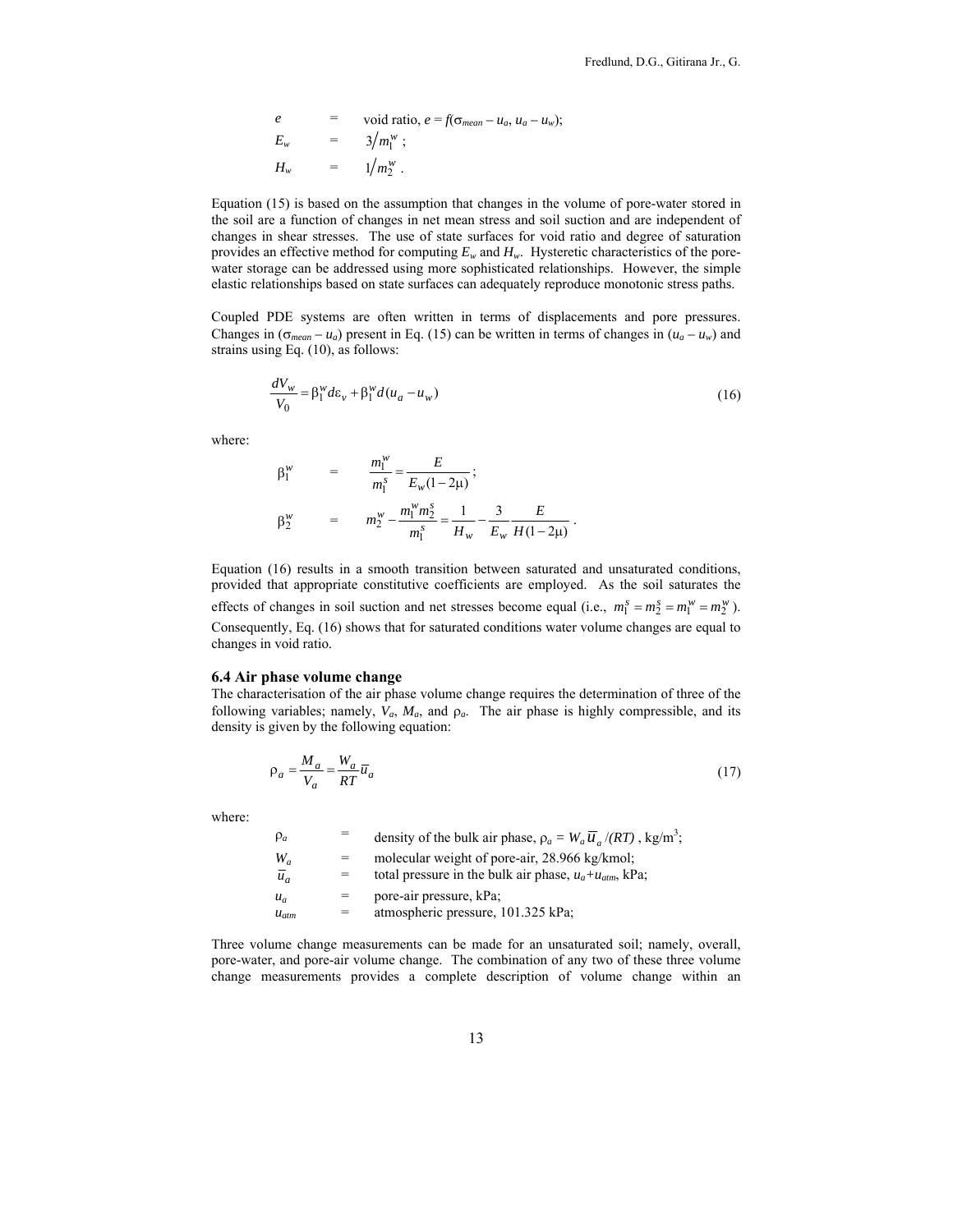$$
e = \text{void ratio}, e = f(\sigma_{mean} - u_a, u_a - u_w);
$$
  
\n
$$
E_w = 3/m_1^w;
$$
  
\n
$$
H_w = 1/m_2^w.
$$

Equation (15) is based on the assumption that changes in the volume of pore-water stored in the soil are a function of changes in net mean stress and soil suction and are independent of changes in shear stresses. The use of state surfaces for void ratio and degree of saturation provides an effective method for computing  $E_w$  and  $H_w$ . Hysteretic characteristics of the porewater storage can be addressed using more sophisticated relationships. However, the simple elastic relationships based on state surfaces can adequately reproduce monotonic stress paths.

Coupled PDE systems are often written in terms of displacements and pore pressures. Changes in  $(\sigma_{mean} - u_a)$  present in Eq. (15) can be written in terms of changes in  $(u_a - u_w)$  and strains using Eq. (10), as follows:

$$
\frac{dV_w}{V_0} = \beta_1^{\nu} d\varepsilon_v + \beta_1^{\nu} d(u_a - u_w)
$$
\n(16)

where:

$$
\beta_1^w = \frac{m_1^w}{m_1^s} = \frac{E}{E_w(1-2\mu)};
$$
  

$$
\beta_2^w = m_2^w - \frac{m_1^w m_2^s}{m_1^s} = \frac{1}{H_w} - \frac{3}{E_w} \frac{E}{H(1-2\mu)}.
$$

Equation (16) results in a smooth transition between saturated and unsaturated conditions, provided that appropriate constitutive coefficients are employed. As the soil saturates the effects of changes in soil suction and net stresses become equal (i.e.,  $m_1^s = m_2^s = m_1^w = m_2^w$ ). Consequently, Eq. (16) shows that for saturated conditions water volume changes are equal to changes in void ratio.

#### **6.4 Air phase volume change**

The characterisation of the air phase volume change requires the determination of three of the following variables; namely,  $V_a$ ,  $M_a$ , and  $\rho_a$ . The air phase is highly compressible, and its density is given by the following equation:

$$
\rho_a = \frac{M_a}{V_a} = \frac{W_a}{RT} \overline{u}_a \tag{17}
$$

where:

| $\rho_a$         |     | density of the bulk air phase, $\rho_a = W_a \overline{u}_a / (RT)$ , kg/m <sup>3</sup> ; |
|------------------|-----|-------------------------------------------------------------------------------------------|
| $W_a$            | $=$ | molecular weight of pore-air, 28.966 kg/kmol;                                             |
| $\overline{u}_a$ | =   | total pressure in the bulk air phase, $u_a + u_{atm}$ , kPa;                              |
| $u_a$            | =   | pore-air pressure, kPa;                                                                   |
| $u_{atm}$        | $=$ | atmospheric pressure, 101.325 kPa;                                                        |

Three volume change measurements can be made for an unsaturated soil; namely, overall, pore-water, and pore-air volume change. The combination of any two of these three volume change measurements provides a complete description of volume change within an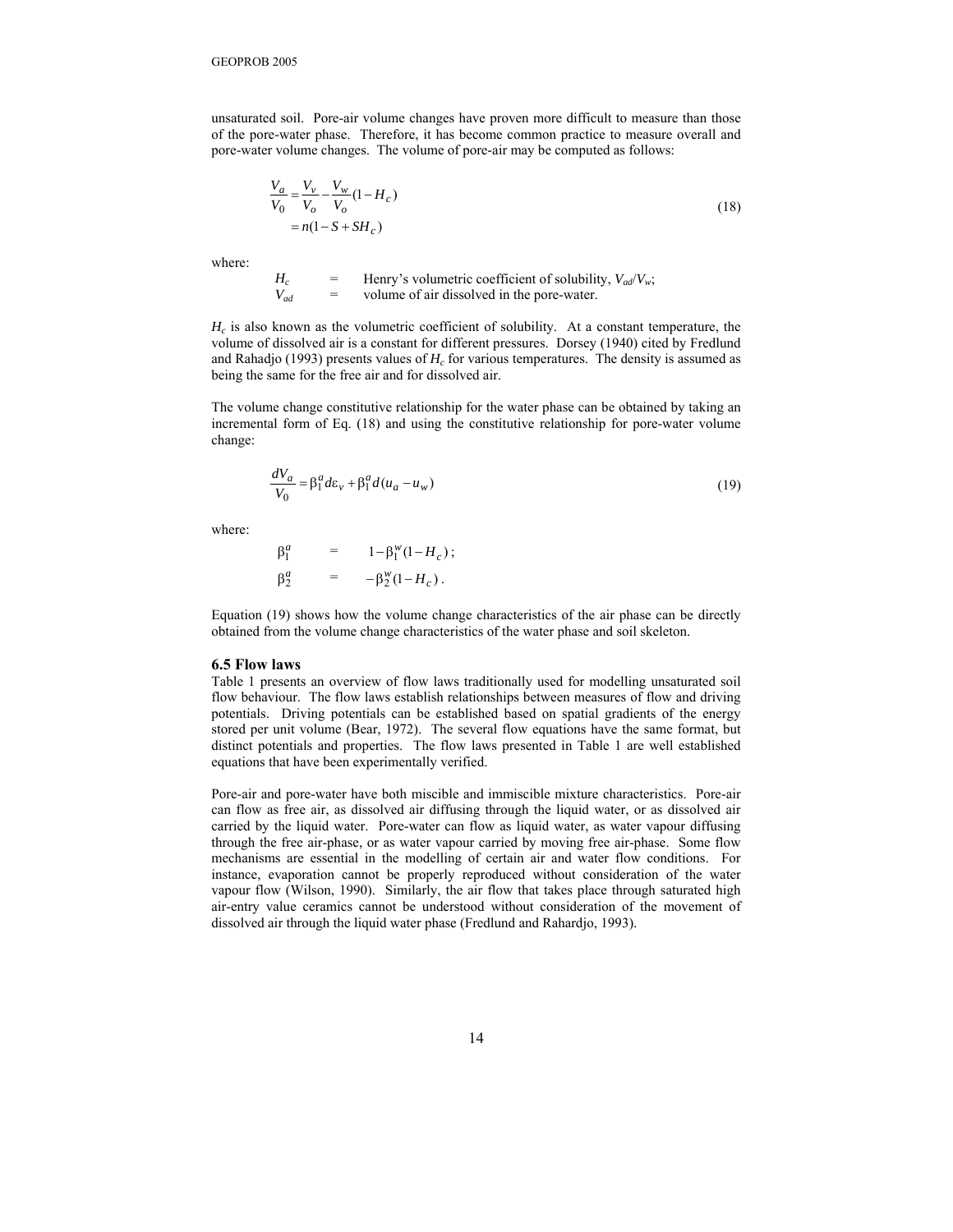unsaturated soil. Pore-air volume changes have proven more difficult to measure than those of the pore-water phase. Therefore, it has become common practice to measure overall and pore-water volume changes. The volume of pore-air may be computed as follows:

$$
\frac{V_a}{V_0} = \frac{V_v}{V_o} - \frac{V_w}{V_o} (1 - H_c)
$$
  
=  $n(1 - S + SH_c)$  (18)

where:

 $H_c$  = Henry's volumetric coefficient of solubility,  $V_{ad}/V_w$ ;  $V_{ad}$  = volume of air dissolved in the pore-water.

 $H_c$  is also known as the volumetric coefficient of solubility. At a constant temperature, the volume of dissolved air is a constant for different pressures. Dorsey (1940) cited by Fredlund and Rahadjo (1993) presents values of  $H_c$  for various temperatures. The density is assumed as being the same for the free air and for dissolved air.

The volume change constitutive relationship for the water phase can be obtained by taking an incremental form of Eq. (18) and using the constitutive relationship for pore-water volume change:

$$
\frac{dV_a}{V_0} = \beta_1^a d\varepsilon_v + \beta_1^a d(u_a - u_w)
$$
\n(19)

where:

$$
\beta_1^a = 1 - \beta_1^w (1 - H_c);
$$
  

$$
\beta_2^a = -\beta_2^w (1 - H_c).
$$

Equation (19) shows how the volume change characteristics of the air phase can be directly obtained from the volume change characteristics of the water phase and soil skeleton.

#### **6.5 Flow laws**

Table 1 presents an overview of flow laws traditionally used for modelling unsaturated soil flow behaviour. The flow laws establish relationships between measures of flow and driving potentials. Driving potentials can be established based on spatial gradients of the energy stored per unit volume (Bear, 1972). The several flow equations have the same format, but distinct potentials and properties. The flow laws presented in Table 1 are well established equations that have been experimentally verified.

Pore-air and pore-water have both miscible and immiscible mixture characteristics. Pore-air can flow as free air, as dissolved air diffusing through the liquid water, or as dissolved air carried by the liquid water. Pore-water can flow as liquid water, as water vapour diffusing through the free air-phase, or as water vapour carried by moving free air-phase. Some flow mechanisms are essential in the modelling of certain air and water flow conditions. For instance, evaporation cannot be properly reproduced without consideration of the water vapour flow (Wilson, 1990). Similarly, the air flow that takes place through saturated high air-entry value ceramics cannot be understood without consideration of the movement of dissolved air through the liquid water phase (Fredlund and Rahardjo, 1993).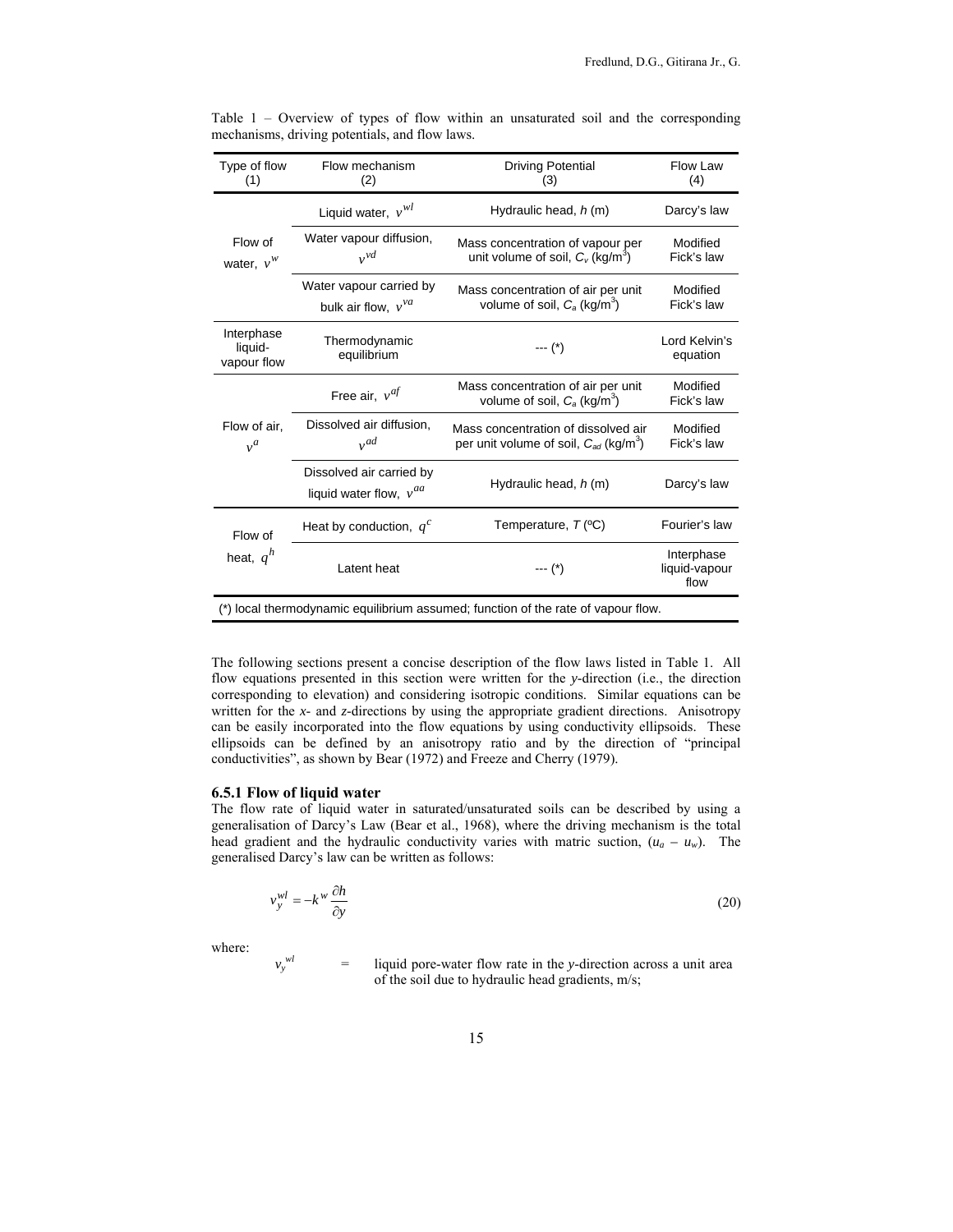| Type of flow<br>(1)                  | Flow mechanism<br>(2)                                   | <b>Driving Potential</b><br>(3)                                                               | Flow Law<br>(4)                     |
|--------------------------------------|---------------------------------------------------------|-----------------------------------------------------------------------------------------------|-------------------------------------|
|                                      | Liquid water, $v^{wl}$                                  | Hydraulic head, h (m)                                                                         | Darcy's law                         |
| Flow of<br>water, $v^w$              | Water vapour diffusion,<br>$v^{vd}$                     | Mass concentration of vapour per<br>unit volume of soil, $C_v$ (kg/m <sup>3</sup> )           | Modified<br>Fick's law              |
|                                      | Water vapour carried by<br>bulk air flow, $v^{va}$      | Mass concentration of air per unit<br>volume of soil, $C_a$ (kg/m <sup>3</sup> )              | Modified<br>Fick's law              |
| Interphase<br>liquid-<br>vapour flow | Thermodynamic<br>equilibrium                            | $---(*)$                                                                                      | Lord Kelvin's<br>equation           |
| Flow of air,<br>$v^a$                | Free air, $v^{af}$                                      | Mass concentration of air per unit<br>volume of soil, $C_a$ (kg/m <sup>3</sup> )              | Modified<br>Fick's law              |
|                                      | Dissolved air diffusion,<br>$v^{ad}$                    | Mass concentration of dissolved air<br>per unit volume of soil, $C_{ad}$ (kg/m <sup>3</sup> ) | Modified<br>Fick's law              |
|                                      | Dissolved air carried by<br>liquid water flow, $v^{aa}$ | Hydraulic head, h (m)                                                                         | Darcy's law                         |
| Flow of<br>heat, $q^h$               | Heat by conduction, $q^c$                               | Temperature, $T$ (°C)                                                                         | Fourier's law                       |
|                                      | Latent heat                                             | $---(*)$                                                                                      | Interphase<br>liquid-vapour<br>flow |
|                                      |                                                         | (*) local thermodynamic equilibrium assumed; function of the rate of vapour flow.             |                                     |

Table 1 – Overview of types of flow within an unsaturated soil and the corresponding mechanisms, driving potentials, and flow laws.

The following sections present a concise description of the flow laws listed in Table 1. All flow equations presented in this section were written for the *y*-direction (i.e., the direction corresponding to elevation) and considering isotropic conditions. Similar equations can be written for the *x*- and *z*-directions by using the appropriate gradient directions. Anisotropy can be easily incorporated into the flow equations by using conductivity ellipsoids. These ellipsoids can be defined by an anisotropy ratio and by the direction of "principal conductivities", as shown by Bear (1972) and Freeze and Cherry (1979).

# **6.5.1 Flow of liquid water**

 $v_y^{wl}$ 

The flow rate of liquid water in saturated/unsaturated soils can be described by using a generalisation of Darcy's Law (Bear et al., 1968), where the driving mechanism is the total head gradient and the hydraulic conductivity varies with matric suction,  $(u_a - u_w)$ . The generalised Darcy's law can be written as follows:

$$
v_y^{wl} = -k^w \frac{\partial h}{\partial y} \tag{20}
$$

where:

= liquid pore-water flow rate in the *y*-direction across a unit area of the soil due to hydraulic head gradients, m/s;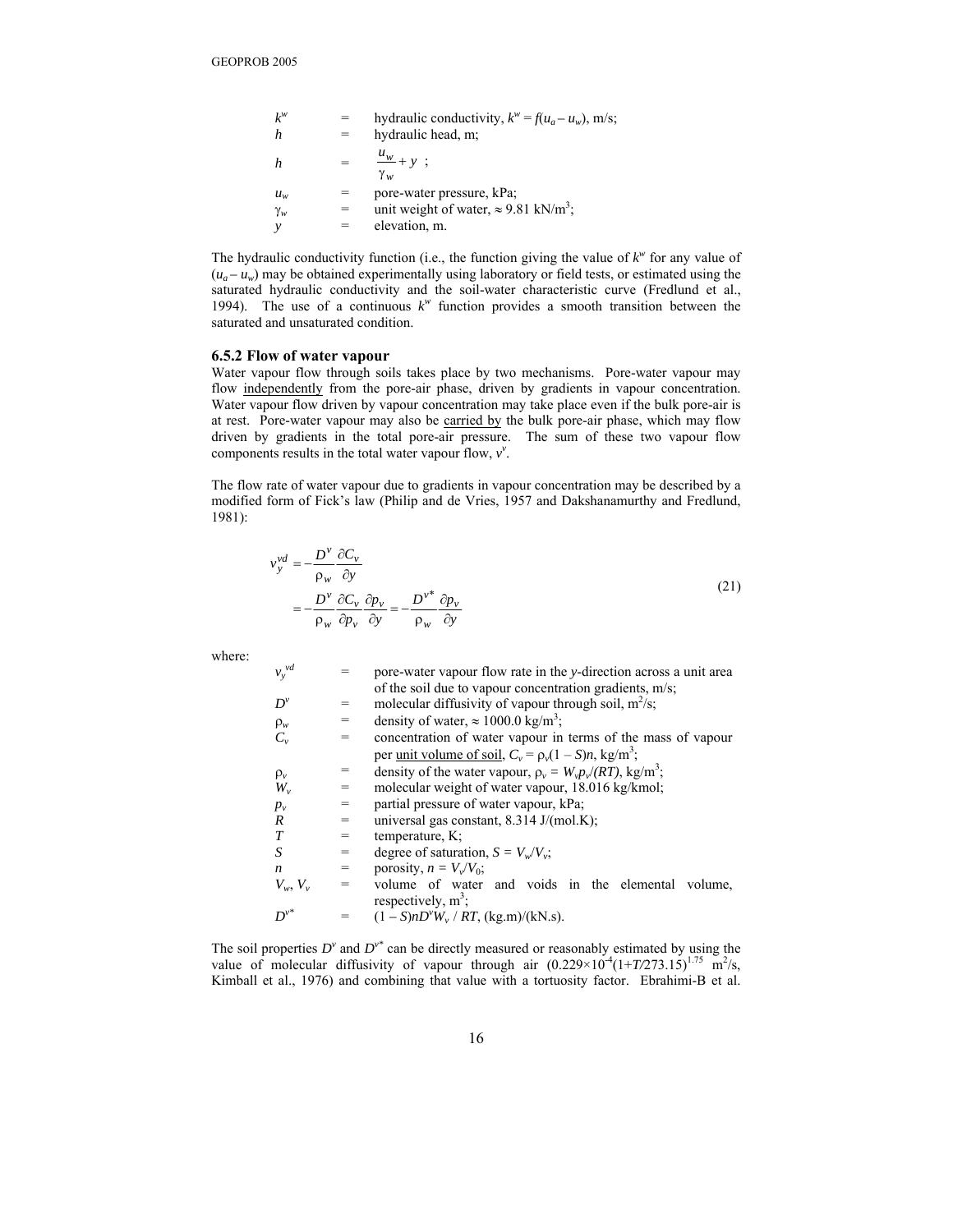| $k^w$      | hydraulic conductivity, $k^w = f(u_a - u_w)$ , m/s;      |
|------------|----------------------------------------------------------|
|            | hydraulic head, m;                                       |
|            | $\frac{u_w}{u} + y$ ;<br>$\gamma_w$                      |
| $u_w$      | pore-water pressure, kPa;                                |
| $\gamma_w$ | unit weight of water, $\approx 9.81$ kN/m <sup>3</sup> ; |
|            | elevation, m.                                            |

The hydraulic conductivity function (i.e., the function giving the value of  $k^w$  for any value of  $(u_a - u_w)$  may be obtained experimentally using laboratory or field tests, or estimated using the saturated hydraulic conductivity and the soil-water characteristic curve (Fredlund et al., 1994). The use of a continuous  $k^w$  function provides a smooth transition between the saturated and unsaturated condition.

#### **6.5.2 Flow of water vapour**

Water vapour flow through soils takes place by two mechanisms. Pore-water vapour may flow independently from the pore-air phase, driven by gradients in vapour concentration. Water vapour flow driven by vapour concentration may take place even if the bulk pore-air is at rest. Pore-water vapour may also be carried by the bulk pore-air phase, which may flow driven by gradients in the total pore-air pressure. The sum of these two vapour flow components results in the total water vapour flow,  $v^{\nu}$ .

The flow rate of water vapour due to gradients in vapour concentration may be described by a modified form of Fick's law (Philip and de Vries, 1957 and Dakshanamurthy and Fredlund, 1981):

$$
v_y^{vd} = -\frac{D^{\nu}}{\rho_w} \frac{\partial C_{\nu}}{\partial y}
$$
  
=  $-\frac{D^{\nu}}{\rho_w} \frac{\partial C_{\nu}}{\partial p_v} \frac{\partial p_v}{\partial y} = -\frac{D^{\nu^*}}{\rho_w} \frac{\partial p_v}{\partial y}$  (21)

where:

| $v_y^{vd}$    |     | pore-water vapour flow rate in the y-direction across a unit area            |
|---------------|-----|------------------------------------------------------------------------------|
|               |     | of the soil due to vapour concentration gradients, m/s;                      |
| $D^{\nu}$     | =   | molecular diffusivity of vapour through soil, $m^2/s$ ;                      |
| $\rho_w$      | =   | density of water, $\approx 1000.0$ kg/m <sup>3</sup> ;                       |
| $C_{\nu}$     | =   | concentration of water vapour in terms of the mass of vapour                 |
|               |     | per unit volume of soil, $C_v = \rho_v(1-S)n$ , kg/m <sup>3</sup> ;          |
| $\rho_v$      | =   | density of the water vapour, $\rho_v = W_v p_v / (RT)$ , kg/m <sup>3</sup> ; |
| $W_{\nu}$     | $=$ | molecular weight of water vapour, 18.016 kg/kmol;                            |
| $p_v$         | $=$ | partial pressure of water vapour, kPa;                                       |
| R             | $=$ | universal gas constant, $8.314$ J/(mol.K);                                   |
| T             | =   | temperature, $K$ ;                                                           |
| S             | $=$ | degree of saturation, $S = V_w/V_w$ ;                                        |
| n             | $=$ | porosity, $n = V_v/V_0$ ;                                                    |
| $V_w$ , $V_v$ | =   | volume of water and voids in the elemental volume,                           |
|               |     | respectively, $m^3$ ;                                                        |
| $D^{\nu^*}$   | $=$ | $(1 - S)nD^{v}W_{v} / RT$ , (kg.m)/(kN.s).                                   |

The soil properties  $D^{\nu}$  and  $D^{\nu^*}$  can be directly measured or reasonably estimated by using the value of molecular diffusivity of vapour through air  $(0.229 \times 10^{-4} (1+T/273.15)^{1.75} \text{ m}^2/\text{s}$ , Kimball et al., 1976) and combining that value with a tortuosity factor. Ebrahimi-B et al.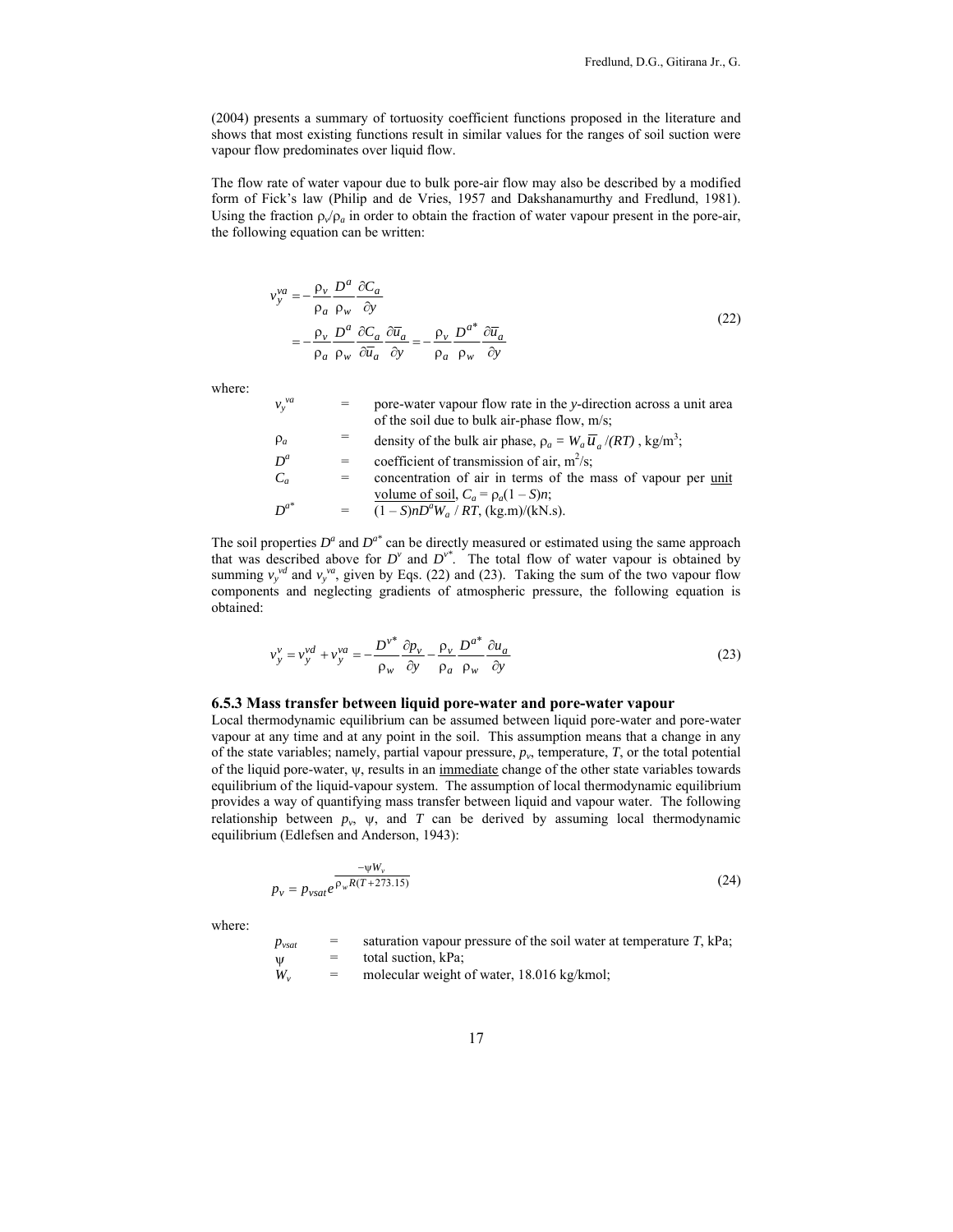(2004) presents a summary of tortuosity coefficient functions proposed in the literature and shows that most existing functions result in similar values for the ranges of soil suction were vapour flow predominates over liquid flow.

The flow rate of water vapour due to bulk pore-air flow may also be described by a modified form of Fick's law (Philip and de Vries, 1957 and Dakshanamurthy and Fredlund, 1981). Using the fraction  $\rho_v/\rho_a$  in order to obtain the fraction of water vapour present in the pore-air, the following equation can be written:

$$
\nu_{y}^{va} = -\frac{\rho_{v}}{\rho_{a}} \frac{D^{a}}{\rho_{w}} \frac{\partial C_{a}}{\partial y}
$$
  
= 
$$
-\frac{\rho_{v}}{\rho_{a}} \frac{D^{a}}{\rho_{w}} \frac{\partial C_{a}}{\partial \overline{u}_{a}} \frac{\partial \overline{u}_{a}}{\partial y} = -\frac{\rho_{v}}{\rho_{a}} \frac{D^{a^{*}}}{\rho_{w}} \frac{\partial \overline{u}_{a}}{\partial y}
$$
(22)

where:

| $v_v^{va}$ | $=$ | pore-water vapour flow rate in the y-direction across a unit area<br>of the soil due to bulk air-phase flow, $m/s$ ; |
|------------|-----|----------------------------------------------------------------------------------------------------------------------|
| $\rho_a$   |     | density of the bulk air phase, $\rho_a = W_a \overline{u}_a / (RT)$ , kg/m <sup>3</sup> ;                            |
| $D^a$      | $=$ | coefficient of transmission of air, $m^2/s$ ;                                                                        |

- $C_a$  = concentration of air in terms of the mass of vapour per <u>unit</u> volume of soil,  $C_a = \rho_a (1 - S)n$ ;
- $D^{a^*}$  =  $\frac{(1 S)nD^aW_a}{RT}$ , (kg.m)/(kN.s).

The soil properties  $D^a$  and  $D^{a*}$  can be directly measured or estimated using the same approach that was described above for  $D^v$  and  $D^{v^*}$ . The total flow of water vapour is obtained by summing  $v_y^{yd}$  and  $v_y^{va}$ , given by Eqs. (22) and (23). Taking the sum of the two vapour flow components and neglecting gradients of atmospheric pressure, the following equation is obtained:

$$
v_y^v = v_y^{vd} + v_y^{va} = -\frac{D^{v^*}}{\rho_w} \frac{\partial p_v}{\partial y} - \frac{\rho_v}{\rho_a} \frac{D^{a^*}}{\rho_w} \frac{\partial u_a}{\partial y}
$$
(23)

#### **6.5.3 Mass transfer between liquid pore-water and pore-water vapour**

Local thermodynamic equilibrium can be assumed between liquid pore-water and pore-water vapour at any time and at any point in the soil. This assumption means that a change in any of the state variables; namely, partial vapour pressure,  $p<sub>v</sub>$ , temperature,  $T<sub>v</sub>$  or the total potential of the liquid pore-water, ψ, results in an immediate change of the other state variables towards equilibrium of the liquid-vapour system. The assumption of local thermodynamic equilibrium provides a way of quantifying mass transfer between liquid and vapour water. The following relationship between  $p_v$ ,  $\psi$ , and *T* can be derived by assuming local thermodynamic equilibrium (Edlefsen and Anderson, 1943):

$$
p_{v} = p_{vsat}e^{\frac{-\psi W_{v}}{p_{w}R(T + 273.15)}}\tag{24}
$$

where:

 $p_{\text{vsat}} =$  saturation vapour pressure of the soil water at temperature *T*, kPa;<br> $p_{\text{st}} =$  total suction kPa;  $\Psi =$  total suction, kPa;<br> $W_y =$  molecular weight

= molecular weight of water, 18.016 kg/kmol;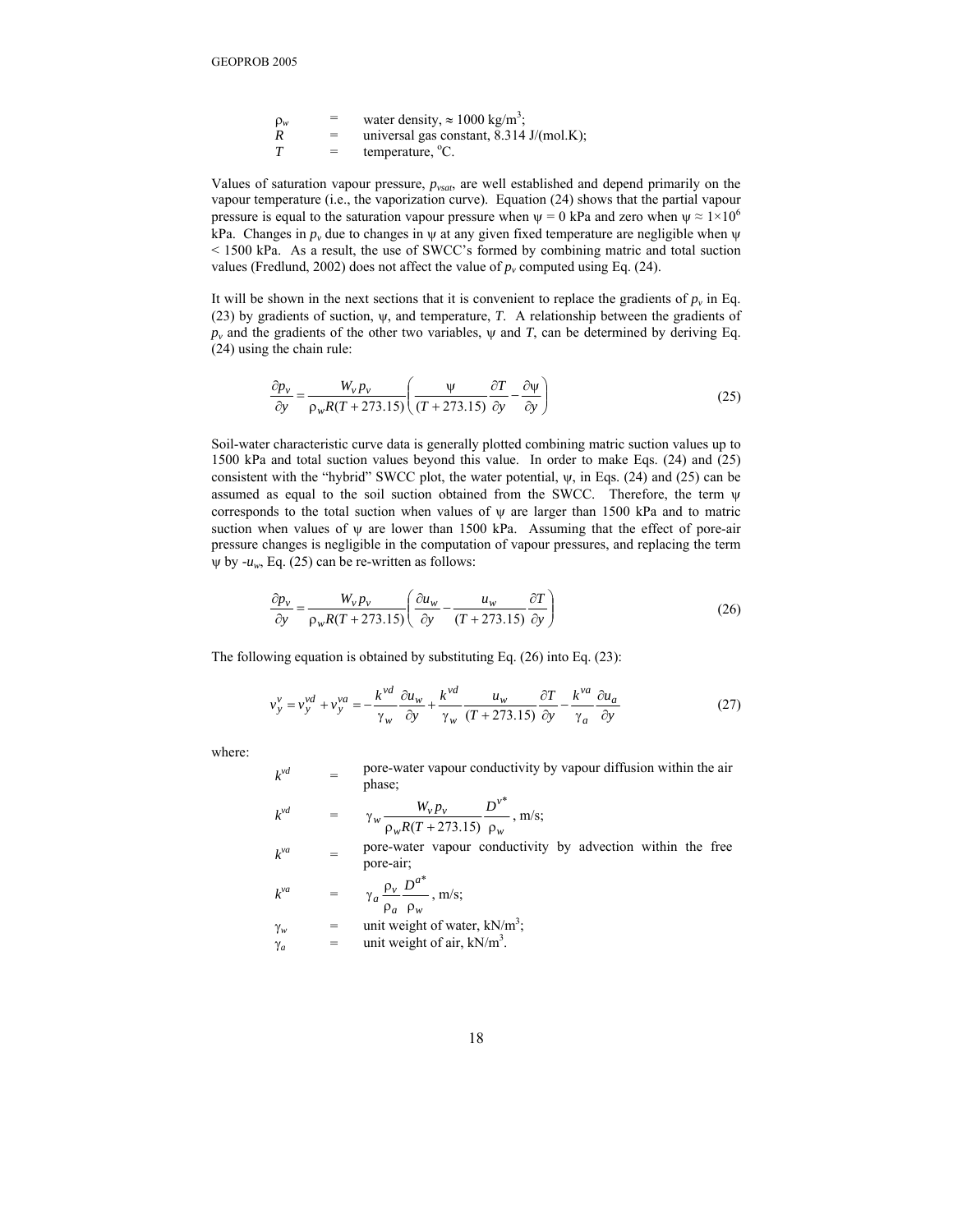| $\rho_w$ | =   | water density, $\approx 1000 \text{ kg/m}^3$ ;      |
|----------|-----|-----------------------------------------------------|
| R        | $=$ | universal gas constant, $8.314 \text{ J/(mol.K)}$ ; |
| T        | $=$ | temperature, <sup>o</sup> C.                        |

Values of saturation vapour pressure, *pvsat*, are well established and depend primarily on the vapour temperature (i.e., the vaporization curve). Equation (24) shows that the partial vapour pressure is equal to the saturation vapour pressure when  $\psi = 0$  kPa and zero when  $\psi \approx 1 \times 10^6$ kPa. Changes in  $p_y$  due to changes in  $\psi$  at any given fixed temperature are negligible when  $\psi$ < 1500 kPa. As a result, the use of SWCC's formed by combining matric and total suction values (Fredlund, 2002) does not affect the value of  $p_v$  computed using Eq. (24).

It will be shown in the next sections that it is convenient to replace the gradients of  $p_v$  in Eq. (23) by gradients of suction, ψ, and temperature, *T*. A relationship between the gradients of  $p_v$  and the gradients of the other two variables,  $\psi$  and *T*, can be determined by deriving Eq. (24) using the chain rule:

$$
\frac{\partial p_{\nu}}{\partial y} = \frac{W_{\nu} p_{\nu}}{\rho_{\nu} R (T + 273.15)} \left( \frac{\Psi}{(T + 273.15)} \frac{\partial T}{\partial y} - \frac{\partial \Psi}{\partial y} \right)
$$
(25)

Soil-water characteristic curve data is generally plotted combining matric suction values up to 1500 kPa and total suction values beyond this value. In order to make Eqs. (24) and (25) consistent with the "hybrid" SWCC plot, the water potential,  $\psi$ , in Eqs. (24) and (25) can be assumed as equal to the soil suction obtained from the SWCC. Therefore, the term ψ corresponds to the total suction when values of ψ are larger than 1500 kPa and to matric suction when values of  $\psi$  are lower than 1500 kPa. Assuming that the effect of pore-air pressure changes is negligible in the computation of vapour pressures, and replacing the term  $\psi$  by *-u<sub>w</sub>*, Eq. (25) can be re-written as follows:

$$
\frac{\partial p_{\nu}}{\partial y} = \frac{W_{\nu} p_{\nu}}{\rho_{w} R(T + 273.15)} \left( \frac{\partial u_{w}}{\partial y} - \frac{u_{w}}{(T + 273.15)} \frac{\partial T}{\partial y} \right)
$$
(26)

The following equation is obtained by substituting Eq. (26) into Eq. (23):

$$
v_y^v = v_y^{vd} + v_y^{va} = -\frac{k^{vd}}{\gamma_w} \frac{\partial u_w}{\partial y} + \frac{k^{vd}}{\gamma_w} \frac{u_w}{(T + 273.15)} \frac{\partial T}{\partial y} - \frac{k^{va}}{\gamma_a} \frac{\partial u_a}{\partial y}
$$
(27)

where:

 $k^{vd}$  = pore-water vapour conductivity by vapour diffusion within the air phase;

$$
k^{\nu d} = \gamma_w \frac{W_{\nu} p_{\nu}}{\rho_w R (T + 273.15)} \frac{D^{\nu^*}}{\rho_w}, \text{ m/s};
$$

 $k<sup>va</sup>$  = pore-water vapour conductivity by advection within the free pore-air;

$$
k^{va} = \gamma_a \frac{\rho_v}{\rho_a} \frac{D^{a^*}}{\rho_w}, \text{m/s};
$$

- $\gamma_w$  = unit weight of water, kN/m<sup>3</sup>;
- $\gamma_a$  = unit weight of air, kN/m<sup>3</sup>.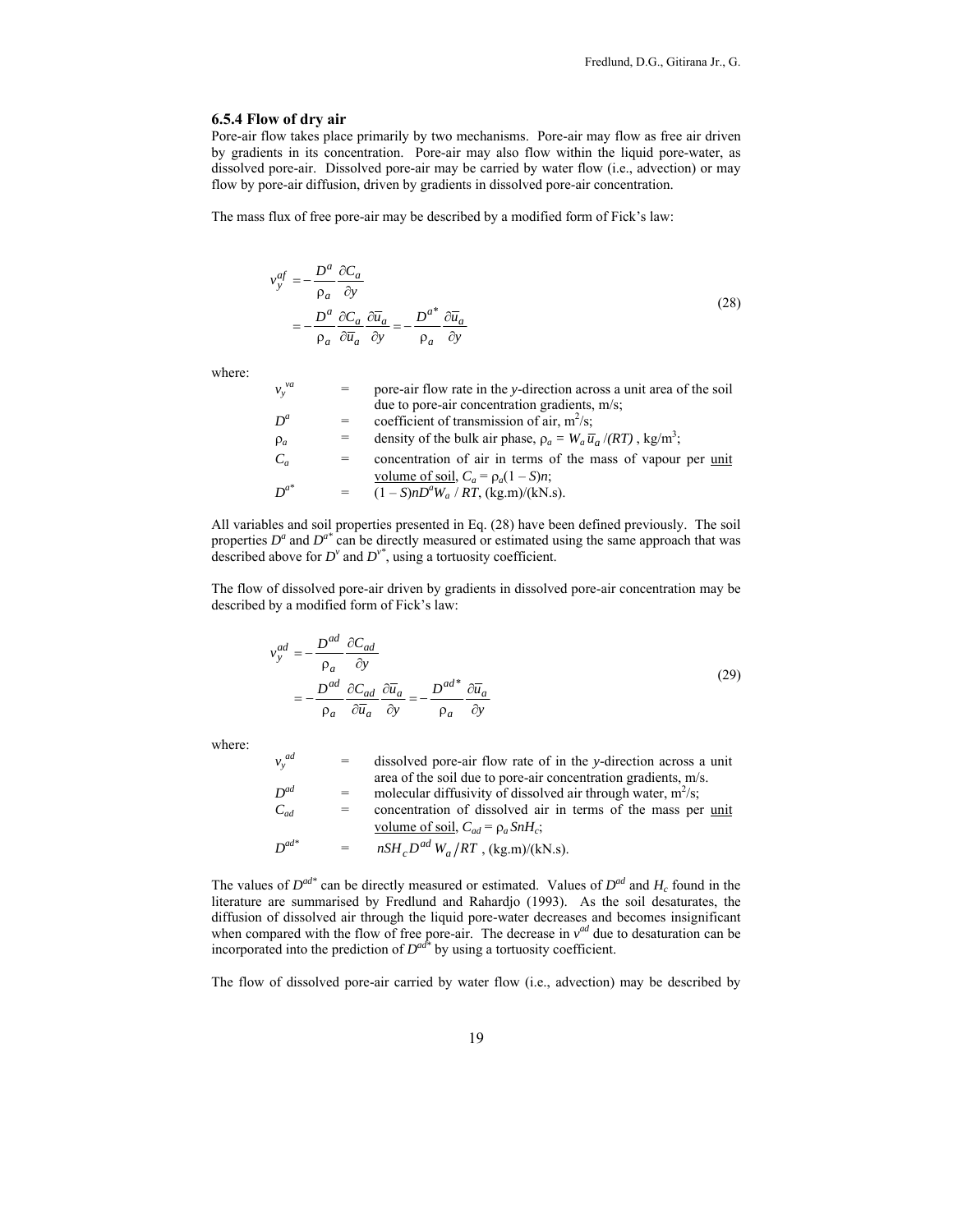# **6.5.4 Flow of dry air**

Pore-air flow takes place primarily by two mechanisms. Pore-air may flow as free air driven by gradients in its concentration. Pore-air may also flow within the liquid pore-water, as dissolved pore-air. Dissolved pore-air may be carried by water flow (i.e., advection) or may flow by pore-air diffusion, driven by gradients in dissolved pore-air concentration.

The mass flux of free pore-air may be described by a modified form of Fick's law:

$$
v_y^{af} = -\frac{D^a}{\rho_a} \frac{\partial C_a}{\partial y}
$$
  
= 
$$
-\frac{D^a}{\rho_a} \frac{\partial C_a}{\partial \overline{u}_a} \frac{\partial \overline{u}_a}{\partial y} = -\frac{D^{a^*}}{\rho_a} \frac{\partial \overline{u}_a}{\partial y}
$$
 (28)

where:

| $v_v^{va}$ |     | pore-air flow rate in the y-direction across a unit area of the soil                      |
|------------|-----|-------------------------------------------------------------------------------------------|
|            |     | due to pore-air concentration gradients, m/s;                                             |
| $D^a$      |     | coefficient of transmission of air, $m^2/s$ ;                                             |
| $\rho_a$   |     | density of the bulk air phase, $\rho_a = W_a \overline{u}_a / (RT)$ , kg/m <sup>3</sup> ; |
| $C_a$      |     | concentration of air in terms of the mass of vapour per unit                              |
|            |     | volume of soil, $C_a = \rho_a (1 - S)n$ ;                                                 |
| $D^{a^*}$  | $=$ | $(1 - S)nD^{a}W_{a} / RT$ , (kg.m)/(kN.s).                                                |

All variables and soil properties presented in Eq. (28) have been defined previously. The soil properties  $D^a$  and  $D^{a*}$  can be directly measured or estimated using the same approach that was described above for  $D^{\nu}$  and  $D^{\nu^*}$ , using a tortuosity coefficient.

The flow of dissolved pore-air driven by gradients in dissolved pore-air concentration may be described by a modified form of Fick's law:

$$
v_y^{ad} = -\frac{D^{ad}}{\rho_a} \frac{\partial C_{ad}}{\partial y}
$$
  
= 
$$
-\frac{D^{ad}}{\rho_a} \frac{\partial C_{ad}}{\partial \overline{u}_a} \frac{\partial \overline{u}_a}{\partial y} = -\frac{D^{ad}}{\rho_a} \frac{\partial \overline{u}_a}{\partial y}
$$
 (29)

where:

*ad*

| $v_y^{ad}$ | $=$ | dissolved pore-air flow rate of in the y-direction across a unit |
|------------|-----|------------------------------------------------------------------|
|            |     | area of the soil due to pore-air concentration gradients, m/s.   |
| $D^{ad}$   |     | molecular diffusivity of dissolved air through water, $m^2/s$ ;  |
| $C_{ad}$   |     | concentration of dissolved air in terms of the mass per unit     |
|            |     | volume of soil, $C_{ad} = \rho_a S n H_c$ ;                      |
| $D^{ad*}$  |     | $nSHcDad Wa/RT$ , (kg.m)/(kN.s).                                 |

The values of  $D^{ad*}$  can be directly measured or estimated. Values of  $D^{ad}$  and  $H_c$  found in the literature are summarised by Fredlund and Rahardjo (1993). As the soil desaturates, the diffusion of dissolved air through the liquid pore-water decreases and becomes insignificant when compared with the flow of free pore-air. The decrease in  $v^{ad}$  due to desaturation can be incorporated into the prediction of *Dad\** by using a tortuosity coefficient.

The flow of dissolved pore-air carried by water flow (i.e., advection) may be described by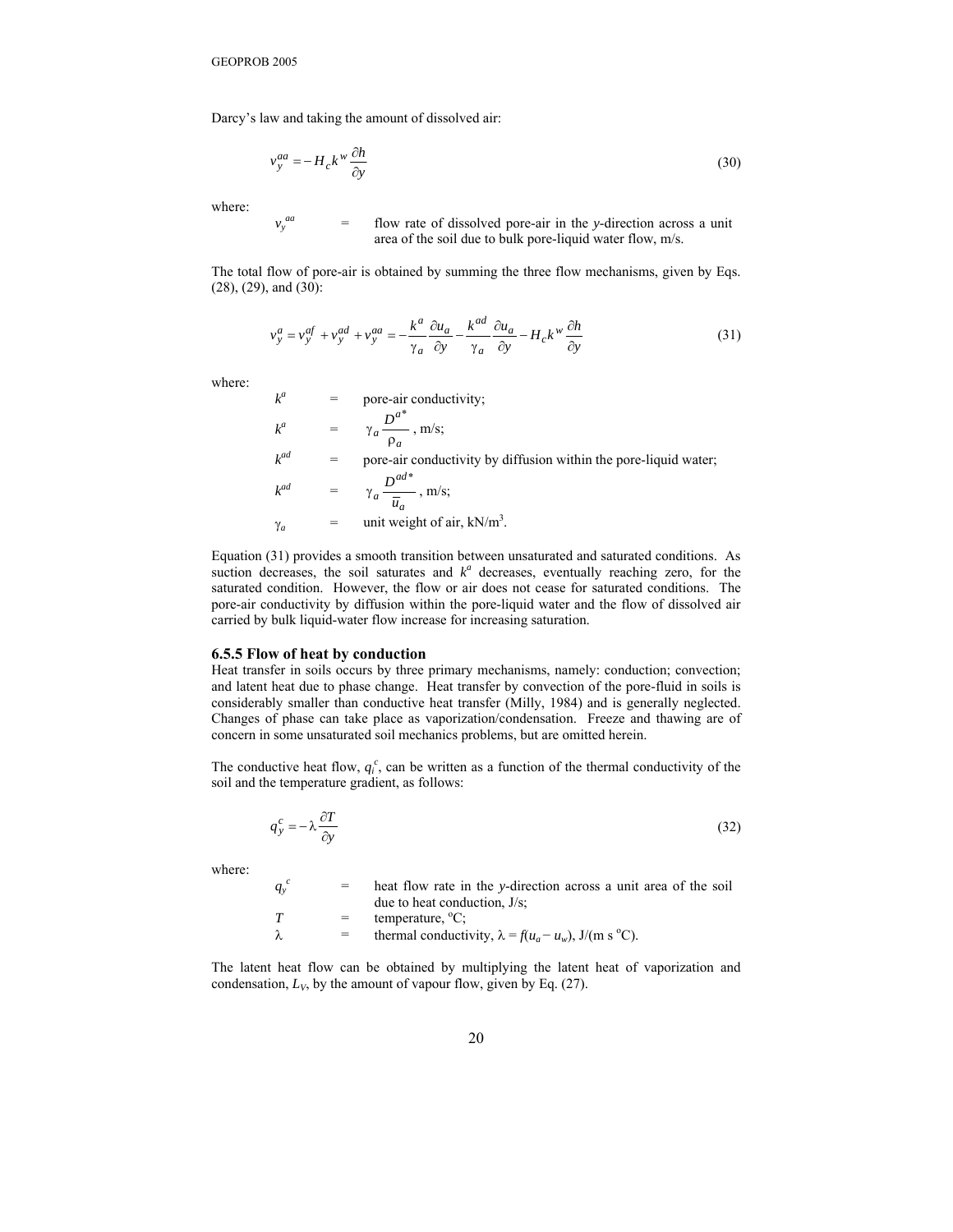Darcy's law and taking the amount of dissolved air:

$$
v_y^{aa} = -H_c k^w \frac{\partial h}{\partial y} \tag{30}
$$

where:

 $v_y^{aa}$ 

flow rate of dissolved pore-air in the *y*-direction across a unit area of the soil due to bulk pore-liquid water flow, m/s.

The total flow of pore-air is obtained by summing the three flow mechanisms, given by Eqs. (28), (29), and (30):

$$
v_y^a = v_y^{af} + v_y^{ad} + v_y^{aa} = -\frac{k^a}{\gamma_a} \frac{\partial u_a}{\partial y} - \frac{k^{ad}}{\gamma_a} \frac{\partial u_a}{\partial y} - H_c k^w \frac{\partial h}{\partial y}
$$
(31)

where:

$$
k^{a} = \text{pore-air conductivity};
$$
\n
$$
k^{a} = \gamma_{a} \frac{D^{a^{*}}}{\rho_{a}}, \text{ m/s};
$$
\n
$$
k^{ad} = \text{pore-air conductivity by diffusion within the pore-liquid water};
$$
\n
$$
k^{ad} = \gamma_{a} \frac{D^{ad^{*}}}{\overline{u}_{a}}, \text{ m/s};
$$

 $\gamma_a$  = unit weight of air, kN/m<sup>3</sup>.

Equation (31) provides a smooth transition between unsaturated and saturated conditions. As suction decreases, the soil saturates and  $k^a$  decreases, eventually reaching zero, for the saturated condition. However, the flow or air does not cease for saturated conditions. The pore-air conductivity by diffusion within the pore-liquid water and the flow of dissolved air carried by bulk liquid-water flow increase for increasing saturation.

#### **6.5.5 Flow of heat by conduction**

Heat transfer in soils occurs by three primary mechanisms, namely: conduction; convection; and latent heat due to phase change. Heat transfer by convection of the pore-fluid in soils is considerably smaller than conductive heat transfer (Milly, 1984) and is generally neglected. Changes of phase can take place as vaporization/condensation. Freeze and thawing are of concern in some unsaturated soil mechanics problems, but are omitted herein.

The conductive heat flow,  $q_i^c$ , can be written as a function of the thermal conductivity of the soil and the temperature gradient, as follows:

$$
q_y^c = -\lambda \frac{\partial T}{\partial y} \tag{32}
$$

where:

 $q_{y}$ <sup>'</sup> *<sup>c</sup>* = heat flow rate in the *y*-direction across a unit area of the soil due to heat conduction, J/s;  $T = \text{temperature}, {}^{0}C;$  $λ$  = thermal conductivity,  $λ = f(u_a - u_w)$ , J/(m s °C).

The latent heat flow can be obtained by multiplying the latent heat of vaporization and condensation,  $L_V$ , by the amount of vapour flow, given by Eq.  $(27)$ .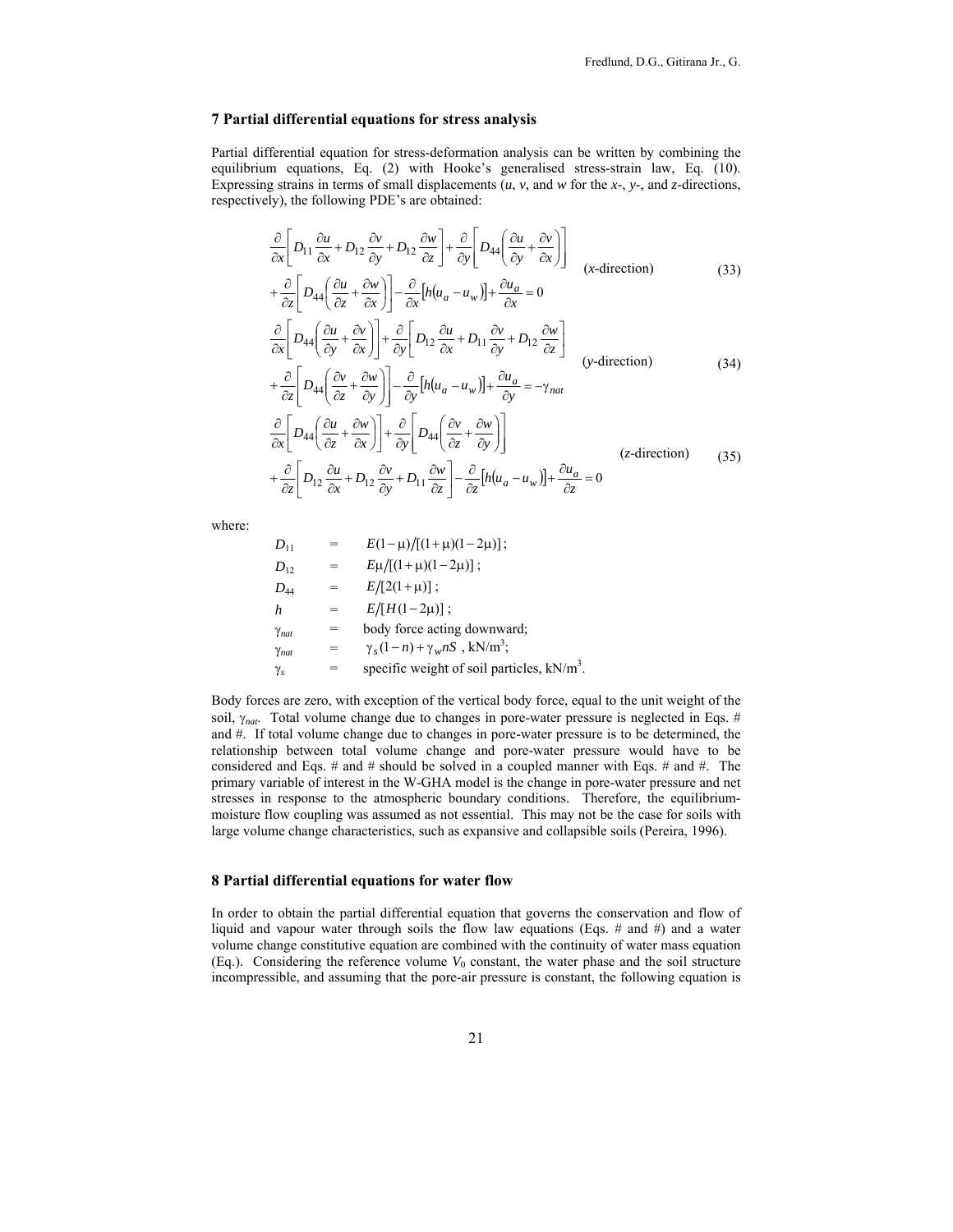# **7 Partial differential equations for stress analysis**

Partial differential equation for stress-deformation analysis can be written by combining the equilibrium equations, Eq. (2) with Hooke's generalised stress-strain law, Eq. (10). Expressing strains in terms of small displacements (*u*, *v*, and *w* for the *x*-, *y*-, and *z*-directions, respectively), the following PDE's are obtained:

$$
\frac{\partial}{\partial x}\left[D_{11}\frac{\partial u}{\partial x} + D_{12}\frac{\partial v}{\partial y} + D_{12}\frac{\partial w}{\partial z}\right] + \frac{\partial}{\partial y}\left[D_{44}\left(\frac{\partial u}{\partial y} + \frac{\partial v}{\partial x}\right)\right]
$$
\n
$$
+\frac{\partial}{\partial z}\left[D_{44}\left(\frac{\partial u}{\partial z} + \frac{\partial w}{\partial x}\right)\right] - \frac{\partial}{\partial x}\left[h(u_a - u_w)\right] + \frac{\partial u_a}{\partial x} = 0
$$
\n
$$
\frac{\partial}{\partial x}\left[D_{44}\left(\frac{\partial u}{\partial y} + \frac{\partial v}{\partial x}\right)\right] + \frac{\partial}{\partial y}\left[D_{12}\frac{\partial u}{\partial x} + D_{11}\frac{\partial v}{\partial y} + D_{12}\frac{\partial w}{\partial z}\right]
$$
\n
$$
+\frac{\partial}{\partial z}\left[D_{44}\left(\frac{\partial v}{\partial z} + \frac{\partial w}{\partial y}\right)\right] - \frac{\partial}{\partial y}\left[h(u_a - u_w)\right] + \frac{\partial u_a}{\partial y} = -\gamma_{nat}
$$
\n
$$
\frac{\partial}{\partial x}\left[D_{44}\left(\frac{\partial u}{\partial z} + \frac{\partial w}{\partial x}\right)\right] + \frac{\partial}{\partial y}\left[D_{44}\left(\frac{\partial v}{\partial z} + \frac{\partial w}{\partial y}\right)\right]
$$
\n
$$
+\frac{\partial}{\partial z}\left[D_{12}\frac{\partial u}{\partial x} + D_{12}\frac{\partial v}{\partial y} + D_{11}\frac{\partial w}{\partial z}\right] - \frac{\partial}{\partial z}\left[h(u_a - u_w)\right] + \frac{\partial u_a}{\partial z} = 0
$$
\n(35)

where:

$$
D_{11} = E(1-\mu)/[(1+\mu)(1-2\mu)];
$$
  
\n
$$
D_{12} = E\mu/[(1+\mu)(1-2\mu)];
$$
  
\n
$$
D_{44} = E/[2(1+\mu)];
$$
  
\n
$$
N_{nat} = E/[H(1-2\mu)];
$$
  
\n
$$
\gamma_{nat} = \text{body force acting downward;}
$$
  
\n
$$
\gamma_{nat} = \gamma_s(1-n) + \gamma_w nS, kN/m^3;
$$
  
\n
$$
= \text{specific weight of soil particles, } kN/m^3.
$$

Body forces are zero, with exception of the vertical body force, equal to the unit weight of the soil, γ*nat*. Total volume change due to changes in pore-water pressure is neglected in Eqs. # and #. If total volume change due to changes in pore-water pressure is to be determined, the relationship between total volume change and pore-water pressure would have to be considered and Eqs. # and # should be solved in a coupled manner with Eqs. # and #. The primary variable of interest in the W-GHA model is the change in pore-water pressure and net stresses in response to the atmospheric boundary conditions. Therefore, the equilibriummoisture flow coupling was assumed as not essential. This may not be the case for soils with large volume change characteristics, such as expansive and collapsible soils (Pereira, 1996).

# **8 Partial differential equations for water flow**

In order to obtain the partial differential equation that governs the conservation and flow of liquid and vapour water through soils the flow law equations (Eqs. # and #) and a water volume change constitutive equation are combined with the continuity of water mass equation (Eq.). Considering the reference volume  $V_0$  constant, the water phase and the soil structure incompressible, and assuming that the pore-air pressure is constant, the following equation is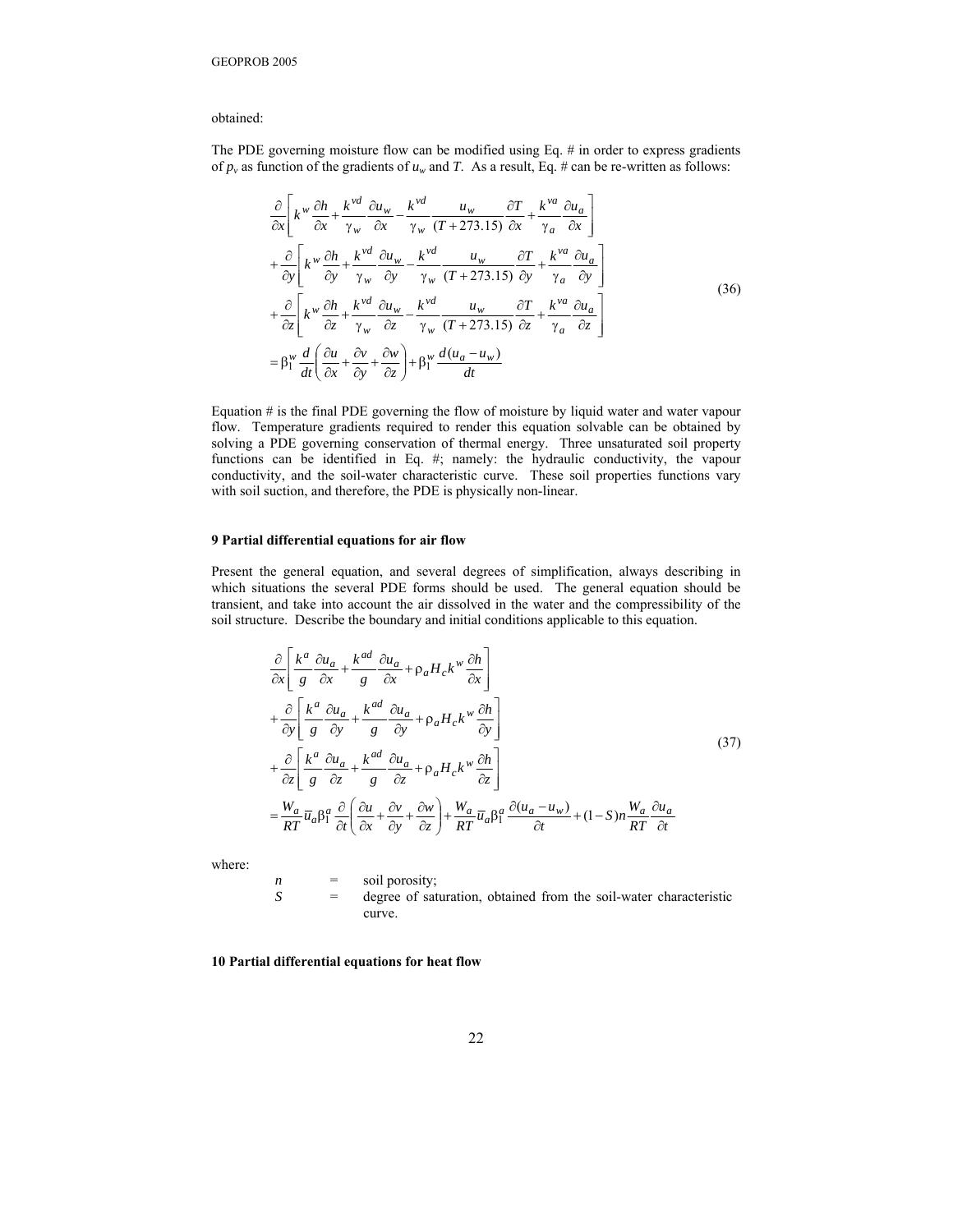# obtained:

The PDE governing moisture flow can be modified using Eq. # in order to express gradients of  $p_v$  as function of the gradients of  $u_w$  and *T*. As a result, Eq. # can be re-written as follows:

$$
\frac{\partial}{\partial x}\left[k^w \frac{\partial h}{\partial x} + \frac{k^{vd}}{\gamma_w} \frac{\partial u_w}{\partial x} - \frac{k^{vd}}{\gamma_w} \frac{u_w}{(T+273.15)} \frac{\partial T}{\partial x} + \frac{k^{va}}{\gamma_a} \frac{\partial u_a}{\partial x}\right] \n+ \frac{\partial}{\partial y}\left[k^w \frac{\partial h}{\partial y} + \frac{k^{vd}}{\gamma_w} \frac{\partial u_w}{\partial y} - \frac{k^{vd}}{\gamma_w} \frac{u_w}{(T+273.15)} \frac{\partial T}{\partial y} + \frac{k^{va}}{\gamma_a} \frac{\partial u_a}{\partial y}\right] \n+ \frac{\partial}{\partial z}\left[k^w \frac{\partial h}{\partial z} + \frac{k^{vd}}{\gamma_w} \frac{\partial u_w}{\partial z} - \frac{k^{vd}}{\gamma_w} \frac{u_w}{(T+273.15)} \frac{\partial T}{\partial z} + \frac{k^{va}}{\gamma_a} \frac{\partial u_a}{\partial z}\right] \n= \beta_1^w \frac{d}{dt}\left(\frac{\partial u}{\partial x} + \frac{\partial v}{\partial y} + \frac{\partial w}{\partial z}\right) + \beta_1^w \frac{d(u_a - u_w)}{dt}
$$
\n(36)

Equation  $#$  is the final PDE governing the flow of moisture by liquid water and water vapour flow. Temperature gradients required to render this equation solvable can be obtained by solving a PDE governing conservation of thermal energy. Three unsaturated soil property functions can be identified in Eq. #; namely: the hydraulic conductivity, the vapour conductivity, and the soil-water characteristic curve. These soil properties functions vary with soil suction, and therefore, the PDE is physically non-linear.

#### **9 Partial differential equations for air flow**

Present the general equation, and several degrees of simplification, always describing in which situations the several PDE forms should be used. The general equation should be transient, and take into account the air dissolved in the water and the compressibility of the soil structure. Describe the boundary and initial conditions applicable to this equation.

$$
\frac{\partial}{\partial x} \left[ \frac{k^a}{g} \frac{\partial u_a}{\partial x} + \frac{k^{ad}}{g} \frac{\partial u_a}{\partial x} + \rho_a H_c k^w \frac{\partial h}{\partial x} \right] \n+ \frac{\partial}{\partial y} \left[ \frac{k^a}{g} \frac{\partial u_a}{\partial y} + \frac{k^{ad}}{g} \frac{\partial u_a}{\partial y} + \rho_a H_c k^w \frac{\partial h}{\partial y} \right] \n+ \frac{\partial}{\partial z} \left[ \frac{k^a}{g} \frac{\partial u_a}{\partial z} + \frac{k^{ad}}{g} \frac{\partial u_a}{\partial z} + \rho_a H_c k^w \frac{\partial h}{\partial z} \right] \n= \frac{W_a}{RT} \overline{u}_a \beta_1^a \frac{\partial}{\partial t} \left( \frac{\partial u}{\partial x} + \frac{\partial v}{\partial y} + \frac{\partial w}{\partial z} \right) + \frac{W_a}{RT} \overline{u}_a \beta_1^a \frac{\partial (u_a - u_w)}{\partial t} + (1 - S) n \frac{W_a}{RT} \frac{\partial u_a}{\partial t}
$$
\n(37)

where:

 $n =$  soil porosity; *S* = degree of saturation, obtained from the soil-water characteristic curve.

**10 Partial differential equations for heat flow**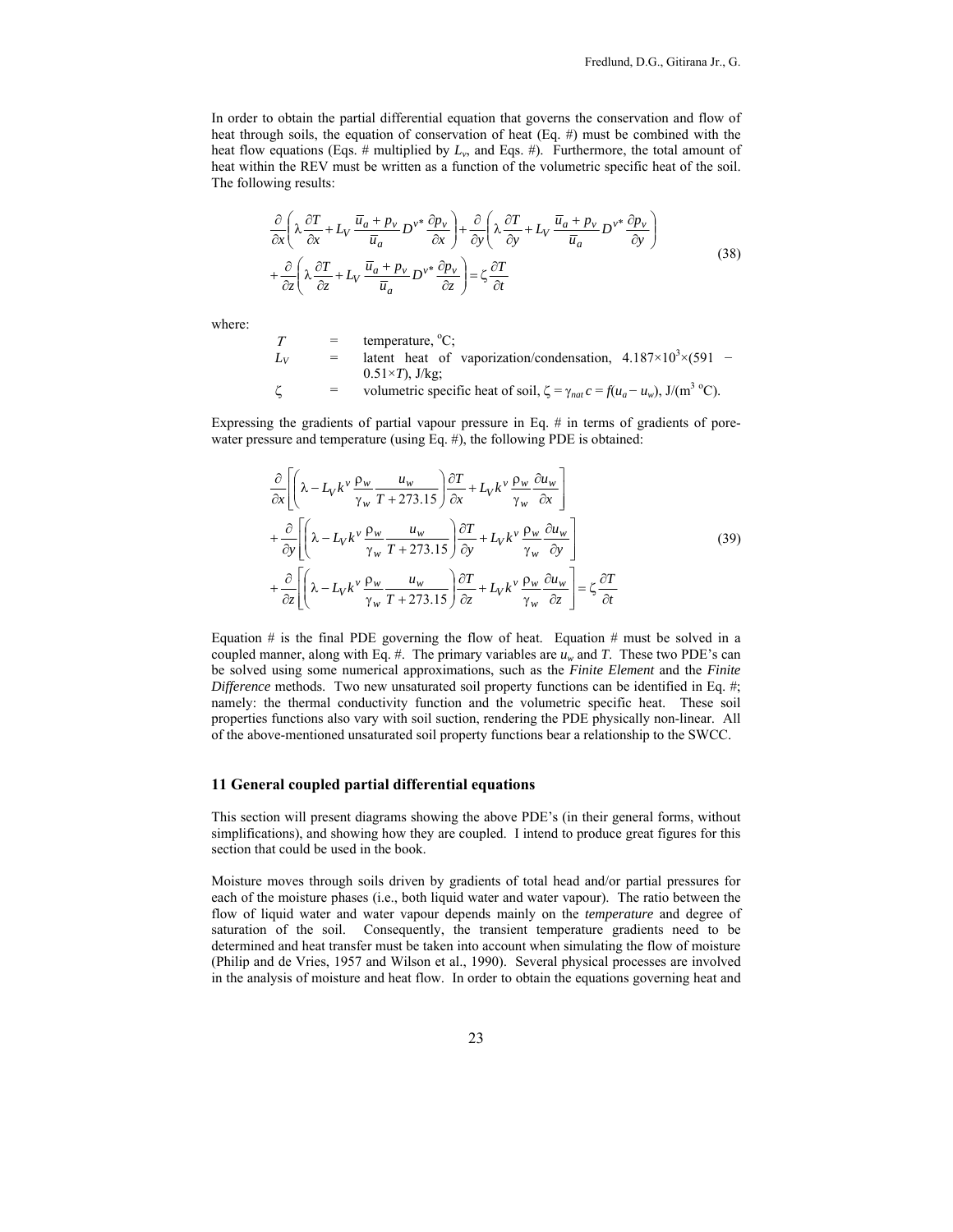In order to obtain the partial differential equation that governs the conservation and flow of heat through soils, the equation of conservation of heat (Eq. #) must be combined with the heat flow equations (Eqs. # multiplied by  $L<sub>v</sub>$ , and Eqs. #). Furthermore, the total amount of heat within the REV must be written as a function of the volumetric specific heat of the soil. The following results:

$$
\frac{\partial}{\partial x} \left( \lambda \frac{\partial T}{\partial x} + L_V \frac{\overline{u}_a + p_v}{\overline{u}_a} D^{\nu^*} \frac{\partial p_v}{\partial x} \right) + \frac{\partial}{\partial y} \left( \lambda \frac{\partial T}{\partial y} + L_V \frac{\overline{u}_a + p_v}{\overline{u}_a} D^{\nu^*} \frac{\partial p_v}{\partial y} \right) \n+ \frac{\partial}{\partial z} \left( \lambda \frac{\partial T}{\partial z} + L_V \frac{\overline{u}_a + p_v}{\overline{u}_a} D^{\nu^*} \frac{\partial p_v}{\partial z} \right) = \zeta \frac{\partial T}{\partial t}
$$
\n(38)

where:

$$
T = \text{temperature, }^{\circ}\text{C};
$$
  
\n= latent heat of vaporization/condensation,  $4.187 \times 10^{3} \times (591 - 0.51 \times T), J/kg;$   
\n= volumeetric specific heat of soil,  $\zeta = \gamma_{nat} c = f(u_a - u_w), J/(m^3 \degree C).$ 

Expressing the gradients of partial vapour pressure in Eq. # in terms of gradients of porewater pressure and temperature (using Eq. #), the following PDE is obtained:

$$
\frac{\partial}{\partial x} \left[ \left( \lambda - L_V k^{\nu} \frac{\rho_w}{\gamma_w} \frac{u_w}{T + 273.15} \right) \frac{\partial T}{\partial x} + L_V k^{\nu} \frac{\rho_w}{\gamma_w} \frac{\partial u_w}{\partial x} \right] \n+ \frac{\partial}{\partial y} \left[ \left( \lambda - L_V k^{\nu} \frac{\rho_w}{\gamma_w} \frac{u_w}{T + 273.15} \right) \frac{\partial T}{\partial y} + L_V k^{\nu} \frac{\rho_w}{\gamma_w} \frac{\partial u_w}{\partial y} \right] \n+ \frac{\partial}{\partial z} \left[ \left( \lambda - L_V k^{\nu} \frac{\rho_w}{\gamma_w} \frac{u_w}{T + 273.15} \right) \frac{\partial T}{\partial z} + L_V k^{\nu} \frac{\rho_w}{\gamma_w} \frac{\partial u_w}{\partial z} \right] = \zeta \frac{\partial T}{\partial t}
$$
\n(39)

Equation  $#$  is the final PDE governing the flow of heat. Equation  $#$  must be solved in a coupled manner, along with Eq. #. The primary variables are  $u_w$  and *T*. These two PDE's can be solved using some numerical approximations, such as the *Finite Element* and the *Finite Difference* methods. Two new unsaturated soil property functions can be identified in Eq. #; namely: the thermal conductivity function and the volumetric specific heat. These soil properties functions also vary with soil suction, rendering the PDE physically non-linear. All of the above-mentioned unsaturated soil property functions bear a relationship to the SWCC.

#### **11 General coupled partial differential equations**

This section will present diagrams showing the above PDE's (in their general forms, without simplifications), and showing how they are coupled. I intend to produce great figures for this section that could be used in the book.

Moisture moves through soils driven by gradients of total head and/or partial pressures for each of the moisture phases (i.e., both liquid water and water vapour). The ratio between the flow of liquid water and water vapour depends mainly on the *temperature* and degree of saturation of the soil. Consequently, the transient temperature gradients need to be determined and heat transfer must be taken into account when simulating the flow of moisture (Philip and de Vries, 1957 and Wilson et al., 1990). Several physical processes are involved in the analysis of moisture and heat flow. In order to obtain the equations governing heat and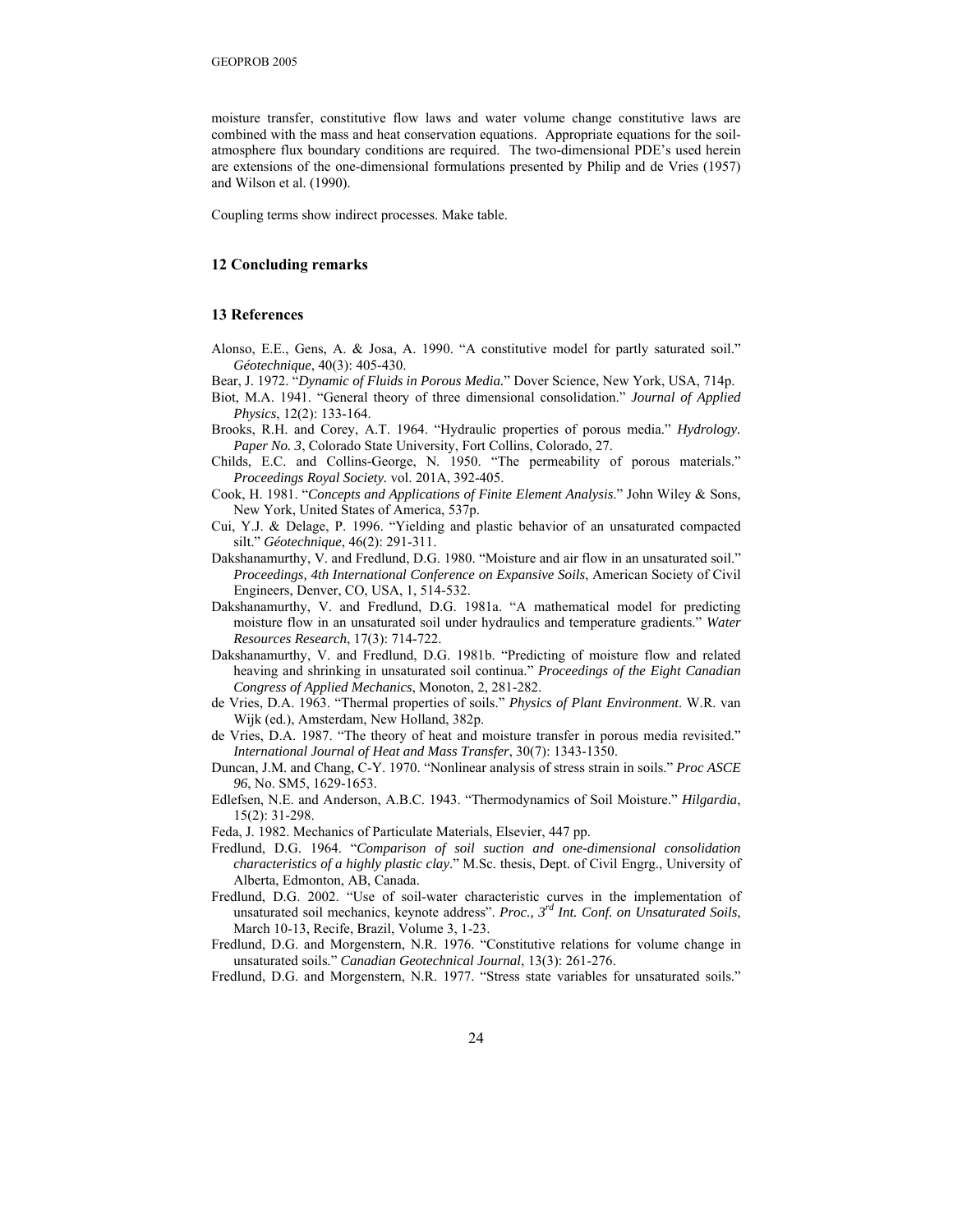moisture transfer, constitutive flow laws and water volume change constitutive laws are combined with the mass and heat conservation equations. Appropriate equations for the soilatmosphere flux boundary conditions are required. The two-dimensional PDE's used herein are extensions of the one-dimensional formulations presented by Philip and de Vries (1957) and Wilson et al. (1990).

Coupling terms show indirect processes. Make table.

# **12 Concluding remarks**

#### **13 References**

- Alonso, E.E., Gens, A. & Josa, A. 1990. "A constitutive model for partly saturated soil." *Géotechnique*, 40(3): 405-430.
- Bear, J. 1972. "*Dynamic of Fluids in Porous Media.*" Dover Science, New York, USA, 714p.
- Biot, M.A. 1941. "General theory of three dimensional consolidation." *Journal of Applied Physics*, 12(2): 133-164.
- Brooks, R.H. and Corey, A.T. 1964. "Hydraulic properties of porous media." *Hydrology. Paper No. 3*, Colorado State University, Fort Collins, Colorado, 27.
- Childs, E.C. and Collins-George, N. 1950. "The permeability of porous materials." *Proceedings Royal Society.* vol. 201A, 392-405.
- Cook, H. 1981. "*Concepts and Applications of Finite Element Analysis*." John Wiley & Sons, New York, United States of America, 537p.
- Cui, Y.J. & Delage, P. 1996. "Yielding and plastic behavior of an unsaturated compacted silt." *Géotechnique*, 46(2): 291-311.
- Dakshanamurthy, V. and Fredlund, D.G. 1980. "Moisture and air flow in an unsaturated soil." *Proceedings, 4th International Conference on Expansive Soils*, American Society of Civil Engineers, Denver, CO, USA, 1, 514-532.
- Dakshanamurthy, V. and Fredlund, D.G. 1981a. "A mathematical model for predicting moisture flow in an unsaturated soil under hydraulics and temperature gradients." *Water Resources Research*, 17(3): 714-722.
- Dakshanamurthy, V. and Fredlund, D.G. 1981b. "Predicting of moisture flow and related heaving and shrinking in unsaturated soil continua." *Proceedings of the Eight Canadian Congress of Applied Mechanics*, Monoton, 2, 281-282.
- de Vries, D.A. 1963. "Thermal properties of soils." *Physics of Plant Environment*. W.R. van Wijk (ed.), Amsterdam, New Holland, 382p.
- de Vries, D.A. 1987. "The theory of heat and moisture transfer in porous media revisited." *International Journal of Heat and Mass Transfer*, 30(7): 1343-1350.
- Duncan, J.M. and Chang, C-Y. 1970. "Nonlinear analysis of stress strain in soils." *Proc ASCE 96*, No. SM5, 1629-1653.
- Edlefsen, N.E. and Anderson, A.B.C. 1943. "Thermodynamics of Soil Moisture." *Hilgardia*, 15(2): 31-298.
- Feda, J. 1982. Mechanics of Particulate Materials, Elsevier, 447 pp.
- Fredlund, D.G. 1964. "*Comparison of soil suction and one-dimensional consolidation characteristics of a highly plastic clay*." M.Sc. thesis, Dept. of Civil Engrg., University of Alberta, Edmonton, AB, Canada.
- Fredlund, D.G. 2002. "Use of soil-water characteristic curves in the implementation of unsaturated soil mechanics, keynote address". *Proc., 3rd Int. Conf. on Unsaturated Soils*, March 10-13, Recife, Brazil, Volume 3, 1-23.
- Fredlund, D.G. and Morgenstern, N.R. 1976. "Constitutive relations for volume change in unsaturated soils." *Canadian Geotechnical Journal*, 13(3): 261-276.
- Fredlund, D.G. and Morgenstern, N.R. 1977. "Stress state variables for unsaturated soils."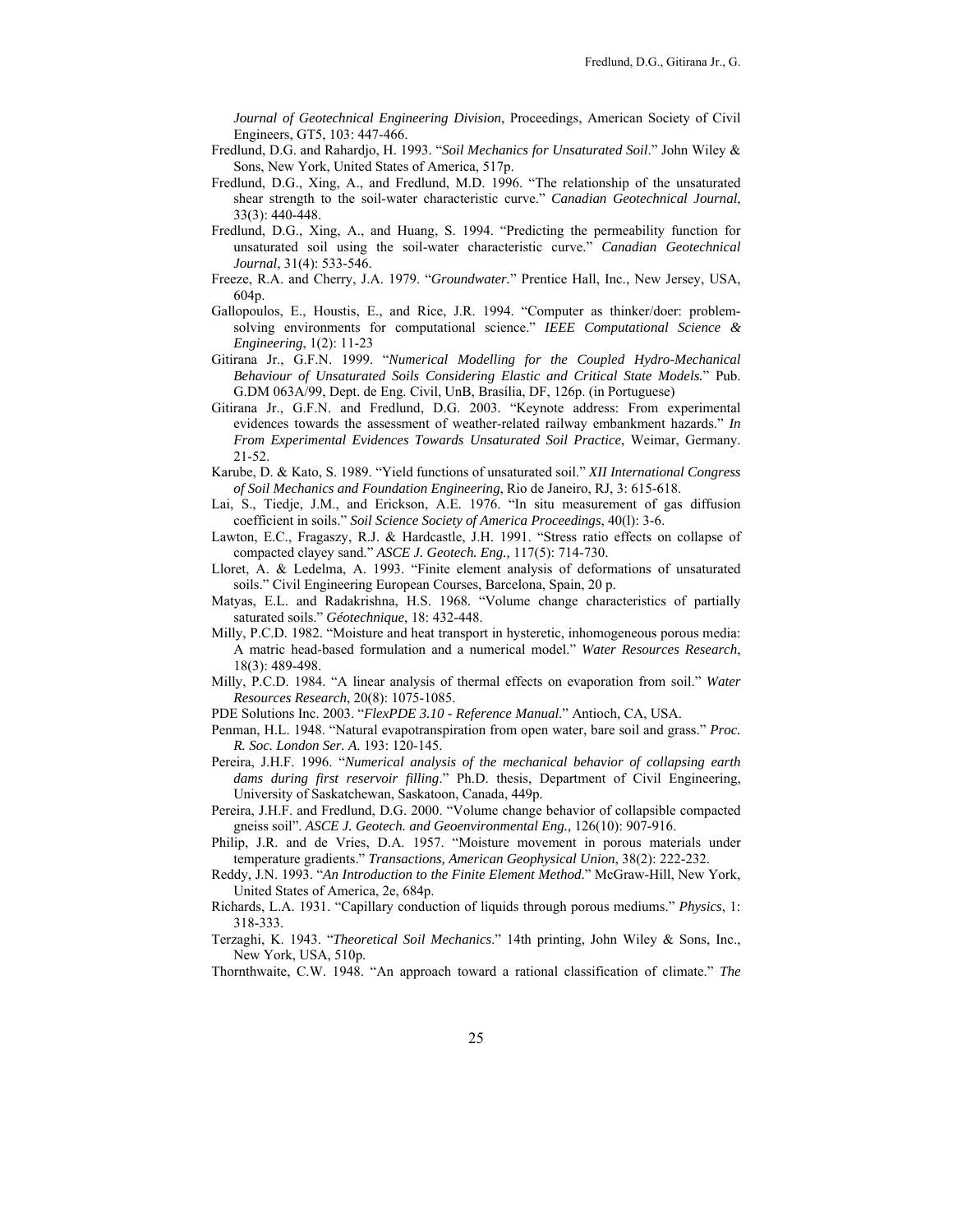*Journal of Geotechnical Engineering Division*, Proceedings, American Society of Civil Engineers, GT5, 103: 447-466.

- Fredlund, D.G. and Rahardjo, H. 1993. "*Soil Mechanics for Unsaturated Soil*." John Wiley & Sons, New York, United States of America, 517p.
- Fredlund, D.G., Xing, A., and Fredlund, M.D. 1996. "The relationship of the unsaturated shear strength to the soil-water characteristic curve." *Canadian Geotechnical Journal*, 33(3): 440-448.
- Fredlund, D.G., Xing, A., and Huang, S. 1994. "Predicting the permeability function for unsaturated soil using the soil-water characteristic curve." *Canadian Geotechnical Journal*, 31(4): 533-546.
- Freeze, R.A. and Cherry, J.A. 1979. "*Groundwater.*" Prentice Hall, Inc., New Jersey, USA, 604p.
- Gallopoulos, E., Houstis, E., and Rice, J.R. 1994. "Computer as thinker/doer: problemsolving environments for computational science." *IEEE Computational Science & Engineering*, 1(2): 11-23
- Gitirana Jr., G.F.N. 1999. "*Numerical Modelling for the Coupled Hydro-Mechanical Behaviour of Unsaturated Soils Considering Elastic and Critical State Models.*" Pub. G.DM 063A/99, Dept. de Eng. Civil, UnB, Brasília, DF, 126p. (in Portuguese)
- Gitirana Jr., G.F.N. and Fredlund, D.G. 2003. "Keynote address: From experimental evidences towards the assessment of weather-related railway embankment hazards." *In From Experimental Evidences Towards Unsaturated Soil Practice*, Weimar, Germany. 21-52.
- Karube, D. & Kato, S. 1989. "Yield functions of unsaturated soil." *XII International Congress of Soil Mechanics and Foundation Engineering*, Rio de Janeiro, RJ, 3: 615-618.
- Lai, S., Tiedje, J.M., and Erickson, A.E. 1976. "In situ measurement of gas diffusion coefficient in soils." *Soil Science Society of America Proceedings*, 40(l): 3-6.
- Lawton, E.C., Fragaszy, R.J. & Hardcastle, J.H. 1991. "Stress ratio effects on collapse of compacted clayey sand." *ASCE J. Geotech. Eng.,* 117(5): 714-730.
- Lloret, A. & Ledelma, A. 1993. "Finite element analysis of deformations of unsaturated soils." Civil Engineering European Courses, Barcelona, Spain, 20 p.
- Matyas, E.L. and Radakrishna, H.S. 1968. "Volume change characteristics of partially saturated soils." *Géotechnique*, 18: 432-448.
- Milly, P.C.D. 1982. "Moisture and heat transport in hysteretic, inhomogeneous porous media: A matric head-based formulation and a numerical model." *Water Resources Research*, 18(3): 489-498.
- Milly, P.C.D. 1984. "A linear analysis of thermal effects on evaporation from soil." *Water Resources Research*, 20(8): 1075-1085.
- PDE Solutions Inc. 2003. "*FlexPDE 3.10 Reference Manual*." Antioch, CA, USA.
- Penman, H.L. 1948. "Natural evapotranspiration from open water, bare soil and grass." *Proc. R. Soc. London Ser. A*. 193: 120-145.
- Pereira, J.H.F. 1996. "*Numerical analysis of the mechanical behavior of collapsing earth dams during first reservoir filling*." Ph.D. thesis, Department of Civil Engineering, University of Saskatchewan, Saskatoon, Canada, 449p.
- Pereira, J.H.F. and Fredlund, D.G. 2000. "Volume change behavior of collapsible compacted gneiss soil". *ASCE J. Geotech. and Geoenvironmental Eng.,* 126(10): 907-916.
- Philip, J.R. and de Vries, D.A. 1957. "Moisture movement in porous materials under temperature gradients." *Transactions, American Geophysical Union*, 38(2): 222-232.
- Reddy, J.N. 1993. "*An Introduction to the Finite Element Method*." McGraw-Hill, New York, United States of America, 2e, 684p.
- Richards, L.A. 1931. "Capillary conduction of liquids through porous mediums." *Physics*, 1: 318-333.
- Terzaghi, K. 1943. "*Theoretical Soil Mechanics*." 14th printing, John Wiley & Sons, Inc., New York, USA, 510p.
- Thornthwaite, C.W. 1948. "An approach toward a rational classification of climate." *The*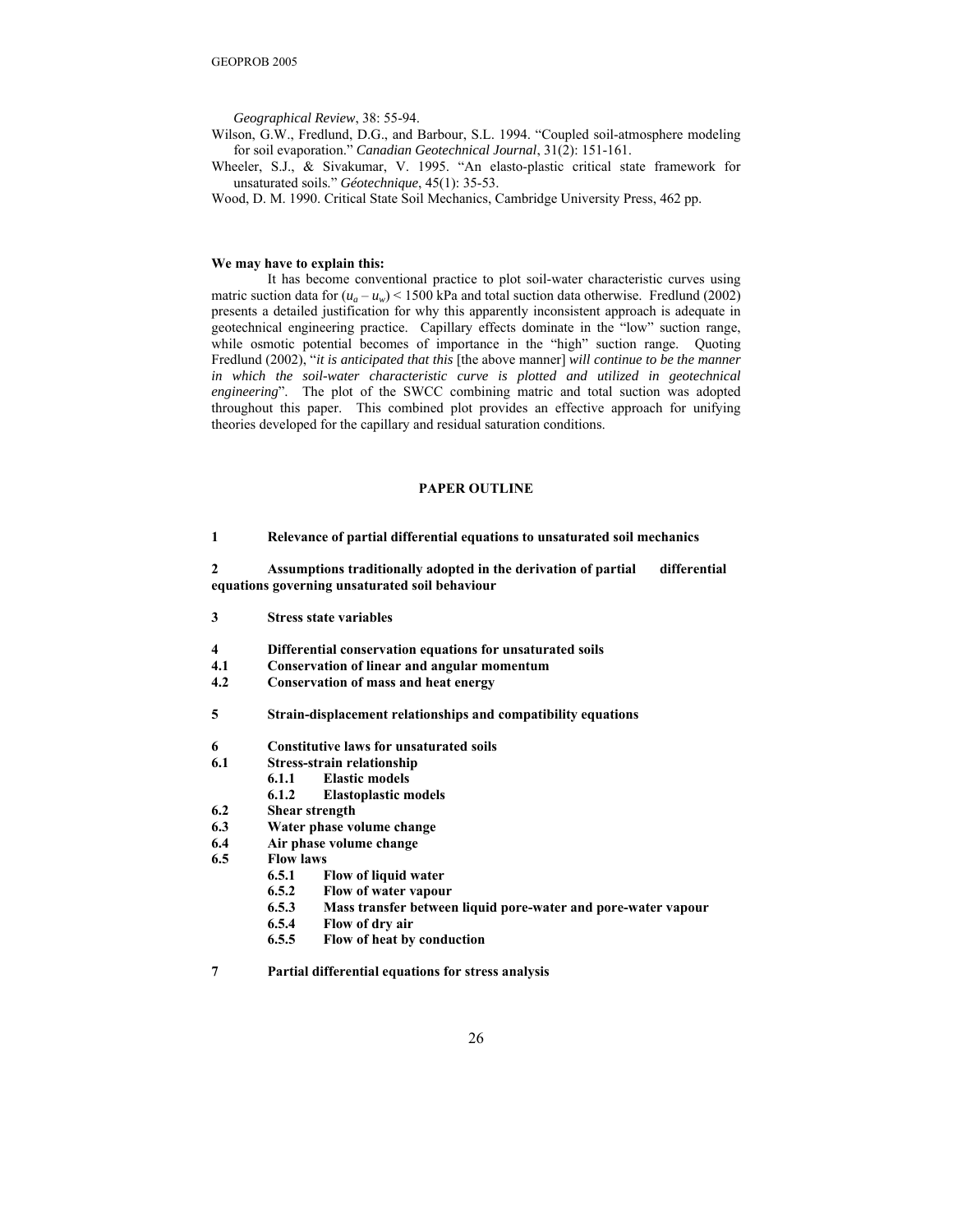*Geographical Review*, 38: 55-94.

Wilson, G.W., Fredlund, D.G., and Barbour, S.L. 1994. "Coupled soil-atmosphere modeling for soil evaporation." *Canadian Geotechnical Journal*, 31(2): 151-161.

Wheeler, S.J., & Sivakumar, V. 1995. "An elasto-plastic critical state framework for unsaturated soils." *Géotechnique*, 45(1): 35-53.

Wood, D. M. 1990. Critical State Soil Mechanics, Cambridge University Press, 462 pp.

#### **We may have to explain this:**

 It has become conventional practice to plot soil-water characteristic curves using matric suction data for  $(u_a - u_w)$  < 1500 kPa and total suction data otherwise. Fredlund (2002) presents a detailed justification for why this apparently inconsistent approach is adequate in geotechnical engineering practice. Capillary effects dominate in the "low" suction range, while osmotic potential becomes of importance in the "high" suction range. Quoting Fredlund (2002), "*it is anticipated that this* [the above manner] *will continue to be the manner*  in which the soil-water characteristic curve is plotted and utilized in geotechnical *engineering*". The plot of the SWCC combining matric and total suction was adopted throughout this paper. This combined plot provides an effective approach for unifying theories developed for the capillary and residual saturation conditions.

# **PAPER OUTLINE**

**1 Relevance of partial differential equations to unsaturated soil mechanics** 

**2 Assumptions traditionally adopted in the derivation of partial differential equations governing unsaturated soil behaviour** 

- **3 Stress state variables**
- **4 Differential conservation equations for unsaturated soils**
- **4.1 Conservation of linear and angular momentum**
- **4.2 Conservation of mass and heat energy**
- **5 Strain-displacement relationships and compatibility equations**
- **6 Constitutive laws for unsaturated soils**
- **6.1 Stress-strain relationship** 
	- **6.1.1 Elastic models**
	- **6.1.2 Elastoplastic models**
- **6.2 Shear strength**
- **6.3 Water phase volume change**
- **6.4 Air phase volume change**
- **6.5 Flow laws** 
	- **6.5.1 Flow of liquid water**
	- **6.5.2 Flow of water vapour**
	- **6.5.3 Mass transfer between liquid pore-water and pore-water vapour**
	- **6.5.4 Flow of dry air**
	- **6.5.5 Flow of heat by conduction**

**7 Partial differential equations for stress analysis**